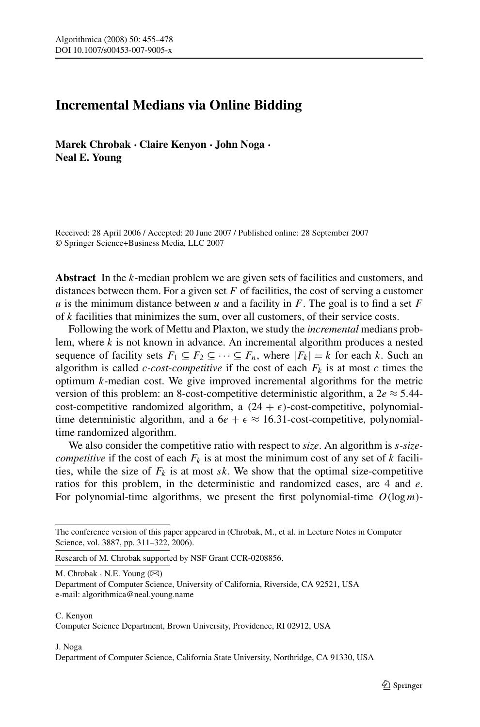# **Incremental Medians via Online Bidding**

**Marek Chrobak · Claire Kenyon · John Noga · Neal E. Young**

Received: 28 April 2006 / Accepted: 20 June 2007 / Published online: 28 September 2007 © Springer Science+Business Media, LLC 2007

**Abstract** In the *k*-median problem we are given sets of facilities and customers, and distances between them. For a given set *F* of facilities, the cost of serving a customer  $u$  is the minimum distance between  $u$  and a facility in  $F$ . The goal is to find a set  $F$ of *k* facilities that minimizes the sum, over all customers, of their service costs.

Following the work of Mettu and Plaxton, we study the *incremental* medians problem, where *k* is not known in advance. An incremental algorithm produces a nested sequence of facility sets  $F_1 \subseteq F_2 \subseteq \cdots \subseteq F_n$ , where  $|F_k| = k$  for each k. Such an algorithm is called *c*-cost-competitive if the cost of each  $F_k$  is at most *c* times the optimum *k*-median cost. We give improved incremental algorithms for the metric version of this problem: an 8-cost-competitive deterministic algorithm, a  $2e \approx 5.44$ cost-competitive randomized algorithm, a  $(24 + \epsilon)$ -cost-competitive, polynomialtime deterministic algorithm, and a  $6e + \epsilon \approx 16.31$ -cost-competitive, polynomialtime randomized algorithm.

We also consider the competitive ratio with respect to *size*. An algorithm is *s-sizecompetitive* if the cost of each  $F_k$  is at most the minimum cost of any set of *k* facilities, while the size of  $F_k$  is at most  $sk$ . We show that the optimal size-competitive ratios for this problem, in the deterministic and randomized cases, are 4 and *e*. For polynomial-time algorithms, we present the first polynomial-time *O(*log*m)*-

M. Chrobak  $\cdot$  N.E. Young  $(\boxtimes)$ 

Department of Computer Science, University of California, Riverside, CA 92521, USA e-mail: algorithmica@neal.young.name

#### C. Kenyon

#### J. Noga

Department of Computer Science, California State University, Northridge, CA 91330, USA

The conference version of this paper appeared in (Chrobak, M., et al. in Lecture Notes in Computer Science, vol. 3887, pp. 311–322, 2006).

Research of M. Chrobak supported by NSF Grant CCR-0208856.

Computer Science Department, Brown University, Providence, RI 02912, USA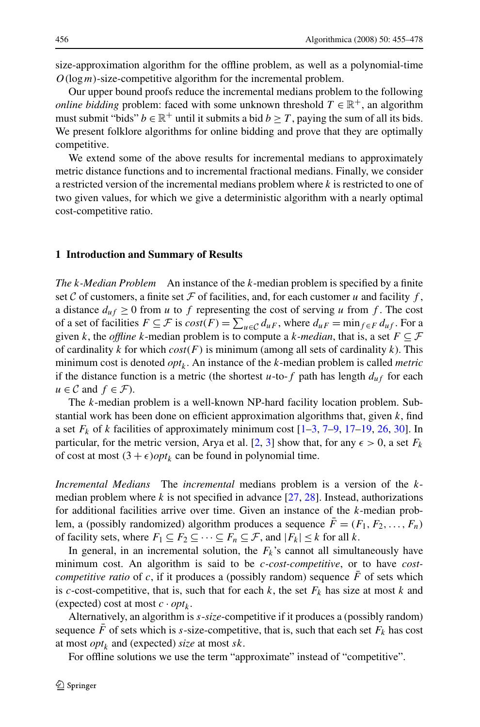size-approximation algorithm for the offline problem, as well as a polynomial-time *O(*log*m)*-size-competitive algorithm for the incremental problem.

Our upper bound proofs reduce the incremental medians problem to the following *online bidding* problem: faced with some unknown threshold  $T \in \mathbb{R}^+$ , an algorithm must submit "bids"  $b \in \mathbb{R}^+$  until it submits a bid  $b \geq T$ , paying the sum of all its bids. We present folklore algorithms for online bidding and prove that they are optimally competitive.

We extend some of the above results for incremental medians to approximately metric distance functions and to incremental fractional medians. Finally, we consider a restricted version of the incremental medians problem where *k* is restricted to one of two given values, for which we give a deterministic algorithm with a nearly optimal cost-competitive ratio.

#### **1 Introduction and Summary of Results**

*The k-Median Problem* An instance of the *k*-median problem is specified by a finite set C of customers, a finite set F of facilities, and, for each customer  $u$  and facility  $f$ , a distance  $d_{uf} \ge 0$  from *u* to *f* representing the cost of serving *u* from *f*. The cost of a set of facilities  $F \subseteq \mathcal{F}$  is  $cost(F) = \sum_{u \in \mathcal{C}} d_{uF}$ , where  $d_{uF} = \min_{f \in F} d_{uf}$ . For a given *k*, the *offline k*-median problem is to compute a *k*-median, that is, a set  $F \subseteq \mathcal{F}$ of cardinality *k* for which *cost(F)* is minimum (among all sets of cardinality *k*). This minimum cost is denoted  $opt_k$ . An instance of the *k*-median problem is called *metric* if the distance function is a metric (the shortest  $u$ -to- $f$  path has length  $d_{uf}$  for each  $u \in \mathcal{C}$  and  $f \in \mathcal{F}$ ).

The *k*-median problem is a well-known NP-hard facility location problem. Substantial work has been done on efficient approximation algorithms that, given *k*, find a set  $F_k$  of *k* facilities of approximately minimum cost  $[1-3, 7-9, 17-19, 26, 30]$  $[1-3, 7-9, 17-19, 26, 30]$  $[1-3, 7-9, 17-19, 26, 30]$  $[1-3, 7-9, 17-19, 26, 30]$ . In particular, for the metric version, Arya et al.  $[2, 3]$  $[2, 3]$  $[2, 3]$  $[2, 3]$  show that, for any  $\epsilon > 0$ , a set  $F_k$ of cost at most  $(3 + \epsilon)$ *opt*<sub>*k*</sub> can be found in polynomial time.

*Incremental Medians* The *incremental* medians problem is a version of the *k*median problem where  $k$  is not specified in advance  $[27, 28]$  $[27, 28]$  $[27, 28]$ . Instead, authorizations for additional facilities arrive over time. Given an instance of the *k*-median problem, a (possibly randomized) algorithm produces a sequence  $\bar{F} = (F_1, F_2, \ldots, F_n)$ of facility sets, where  $F_1 \subseteq F_2 \subseteq \cdots \subseteq F_n \subseteq \mathcal{F}$ , and  $|F_k| \leq k$  for all *k*.

In general, in an incremental solution, the  $F_k$ 's cannot all simultaneously have minimum cost. An algorithm is said to be *c-cost-competitive*, or to have *costcompetitive ratio* of  $c$ , if it produces a (possibly random) sequence  $F$  of sets which is *c*-cost-competitive, that is, such that for each  $k$ , the set  $F_k$  has size at most  $k$  and (expected) cost at most  $c \cdot opt_k$ .

Alternatively, an algorithm is *s*-*size*-competitive if it produces a (possibly random) sequence *F* of sets which is *s*-size-competitive, that is, such that each set  $F_k$  has cost at most *opt<sup>k</sup>* and (expected) *size* at most *sk*.

For offline solutions we use the term "approximate" instead of "competitive".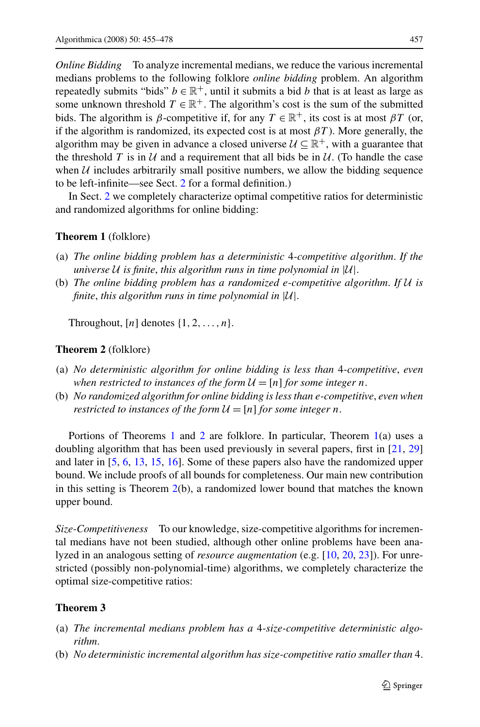<span id="page-2-0"></span>*Online Bidding* To analyze incremental medians, we reduce the various incremental medians problems to the following folklore *online bidding* problem. An algorithm repeatedly submits "bids"  $b \in \mathbb{R}^+$ , until it submits a bid *b* that is at least as large as some unknown threshold  $T \in \mathbb{R}^+$ . The algorithm's cost is the sum of the submitted bids. The algorithm is *β*-competitive if, for any  $T \in \mathbb{R}^+$ , its cost is at most  $\beta T$  (or, if the algorithm is randomized, its expected cost is at most  $\beta T$ ). More generally, the algorithm may be given in advance a closed universe  $U \subseteq \mathbb{R}^+$ , with a guarantee that the threshold T is in U and a requirement that all bids be in U. (To handle the case when  $U$  includes arbitrarily small positive numbers, we allow the bidding sequence to be left-infinite—see Sect. [2](#page-6-0) for a formal definition.)

In Sect. [2](#page-6-0) we completely characterize optimal competitive ratios for deterministic and randomized algorithms for online bidding:

## **Theorem 1** (folklore)

- (a) *The online bidding problem has a deterministic* 4*-competitive algorithm*. *If the universe* U *is finite*, *this algorithm runs in time polynomial in* |U|.
- (b) *The online bidding problem has a randomized e-competitive algorithm*. *If* U *is finite*, *this algorithm runs in time polynomial in* |U|.

Throughout,  $[n]$  denotes  $\{1, 2, \ldots, n\}$ .

### **Theorem 2** (folklore)

- (a) *No deterministic algorithm for online bidding is less than* 4*-competitive*, *even when restricted to instances of the form*  $U = [n]$  *for some integer n.*
- (b) *No randomized algorithm for online bidding is less than e-competitive*, *even when restricted to instances of the form*  $U = [n]$  *for some integer n*.

Portions of Theorems 1 and 2 are folklore. In particular, Theorem 1(a) uses a doubling algorithm that has been used previously in several papers, first in [[21,](#page-22-0) [29](#page-23-0)] and later in [\[5](#page-22-0), [6](#page-22-0), [13,](#page-22-0) [15,](#page-22-0) [16](#page-22-0)]. Some of these papers also have the randomized upper bound. We include proofs of all bounds for completeness. Our main new contribution in this setting is Theorem 2(b), a randomized lower bound that matches the known upper bound.

*Size-Competitiveness* To our knowledge, size-competitive algorithms for incremental medians have not been studied, although other online problems have been analyzed in an analogous setting of *resource augmentation* (e.g. [\[10](#page-22-0), [20](#page-22-0), [23](#page-23-0)]). For unrestricted (possibly non-polynomial-time) algorithms, we completely characterize the optimal size-competitive ratios:

### **Theorem 3**

- (a) *The incremental medians problem has a* 4*-size-competitive deterministic algorithm*.
- (b) *No deterministic incremental algorithm has size-competitive ratio smaller than* 4.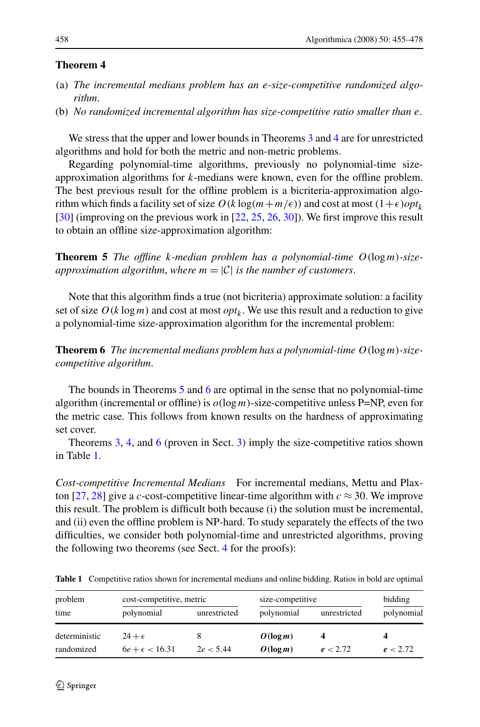#### <span id="page-3-0"></span>**Theorem 4**

- (a) *The incremental medians problem has an e-size-competitive randomized algorithm*.
- (b) *No randomized incremental algorithm has size-competitive ratio smaller than e*.

We stress that the upper and lower bounds in Theorems [3](#page-2-0) and 4 are for unrestricted algorithms and hold for both the metric and non-metric problems.

Regarding polynomial-time algorithms, previously no polynomial-time sizeapproximation algorithms for *k*-medians were known, even for the offline problem. The best previous result for the offline problem is a bicriteria-approximation algorithm which finds a facility set of size  $O(k \log(m + m/\epsilon))$  and cost at most  $(1+\epsilon)opt_k$ [\[30](#page-23-0)] (improving on the previous work in [\[22](#page-23-0), [25,](#page-23-0) [26,](#page-23-0) [30](#page-23-0)]). We first improve this result to obtain an offline size-approximation algorithm:

**Theorem 5** *The offline k-median problem has a polynomial-time O(*log*m)-sizeapproximation algorithm, where*  $m = |\mathcal{C}|$  *is the number of customers.* 

Note that this algorithm finds a true (not bicriteria) approximate solution: a facility set of size  $O(k \log m)$  and cost at most *opt<sub>k</sub>*. We use this result and a reduction to give a polynomial-time size-approximation algorithm for the incremental problem:

**Theorem 6** *The incremental medians problem has a polynomial-time O(*log*m)-sizecompetitive algorithm*.

The bounds in Theorems 5 and 6 are optimal in the sense that no polynomial-time algorithm (incremental or offline) is  $o(log m)$ -size-competitive unless P=NP, even for the metric case. This follows from known results on the hardness of approximating set cover.

Theorems [3](#page-2-0), 4, and 6 (proven in Sect. [3\)](#page-10-0) imply the size-competitive ratios shown in Table 1.

*Cost-competitive Incremental Medians* For incremental medians, Mettu and Plax-ton [\[27](#page-23-0), [28\]](#page-23-0) give a *c*-cost-competitive linear-time algorithm with  $c \approx 30$ . We improve this result. The problem is difficult both because (i) the solution must be incremental, and (ii) even the offline problem is NP-hard. To study separately the effects of the two difficulties, we consider both polynomial-time and unrestricted algorithms, proving the following two theorems (see Sect. [4](#page-13-0) for the proofs):

| problem<br>time | cost-competitive, metric |              | size-competitive |              | bidding    |
|-----------------|--------------------------|--------------|------------------|--------------|------------|
|                 | polynomial               | unrestricted | polynomial       | unrestricted | polynomial |
| deterministic   | $24+\epsilon$            |              | $O(\log m)$      | 4            |            |
| randomized      | $6e + \epsilon < 16.31$  | 2e < 5.44    | $O(\log m)$      | e < 2.72     | e < 2.72   |

**Table 1** Competitive ratios shown for incremental medians and online bidding. Ratios in bold are optimal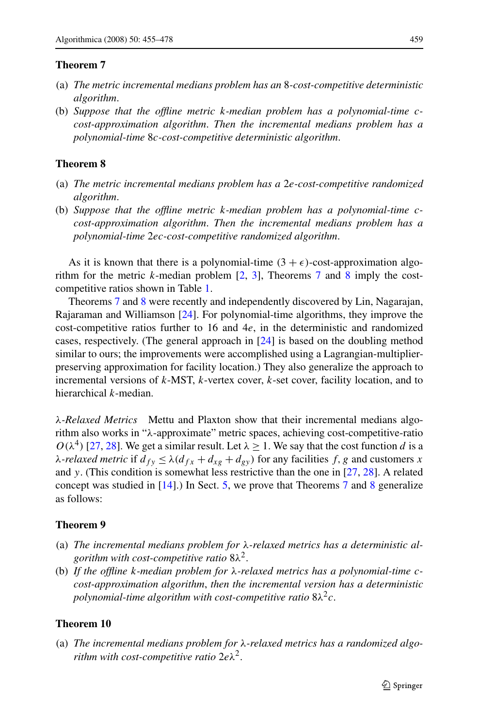### <span id="page-4-0"></span>**Theorem 7**

- (a) *The metric incremental medians problem has an* 8*-cost-competitive deterministic algorithm*.
- (b) *Suppose that the offline metric k-median problem has a polynomial-time ccost-approximation algorithm*. *Then the incremental medians problem has a polynomial-time* 8*c-cost-competitive deterministic algorithm*.

### **Theorem 8**

- (a) *The metric incremental medians problem has a* 2*e-cost-competitive randomized algorithm*.
- (b) *Suppose that the offline metric k-median problem has a polynomial-time ccost-approximation algorithm*. *Then the incremental medians problem has a polynomial-time* 2*ec-cost-competitive randomized algorithm*.

As it is known that there is a polynomial-time  $(3 + \epsilon)$ -cost-approximation algorithm for the metric *k*-median problem [\[2](#page-22-0), [3\]](#page-22-0), Theorems 7 and 8 imply the costcompetitive ratios shown in Table [1](#page-3-0).

Theorems 7 and 8 were recently and independently discovered by Lin, Nagarajan, Rajaraman and Williamson [[24\]](#page-23-0). For polynomial-time algorithms, they improve the cost-competitive ratios further to 16 and 4*e*, in the deterministic and randomized cases, respectively. (The general approach in [[24\]](#page-23-0) is based on the doubling method similar to ours; the improvements were accomplished using a Lagrangian-multiplierpreserving approximation for facility location.) They also generalize the approach to incremental versions of *k*-MST, *k*-vertex cover, *k*-set cover, facility location, and to hierarchical *k*-median.

*λ-Relaxed Metrics* Mettu and Plaxton show that their incremental medians algorithm also works in "*λ*-approximate" metric spaces, achieving cost-competitive-ratio  $O(\lambda^4)$  [\[27](#page-23-0), [28\]](#page-23-0). We get a similar result. Let  $\lambda \geq 1$ . We say that the cost function *d* is a *λ-relaxed metric* if  $d_{fy} \leq \lambda (d_{fx} + d_{xg} + d_{gy})$  for any facilities *f, g* and customers *x* and *y*. (This condition is somewhat less restrictive than the one in [[27,](#page-23-0) [28\]](#page-23-0). A related concept was studied in [\[14](#page-22-0)].) In Sect. [5,](#page-15-0) we prove that Theorems 7 and 8 generalize as follows:

# **Theorem 9**

- (a) *The incremental medians problem for λ-relaxed metrics has a deterministic algorithm with cost-competitive ratio* 8*λ*2.
- (b) *If the offline k-median problem for λ-relaxed metrics has a polynomial-time ccost-approximation algorithm*, *then the incremental version has a deterministic polynomial-time algorithm with cost-competitive ratio*  $8\lambda^2c$ .

# **Theorem 10**

(a) *The incremental medians problem for λ-relaxed metrics has a randomized algorithm with cost-competitive ratio* 2*eλ*2.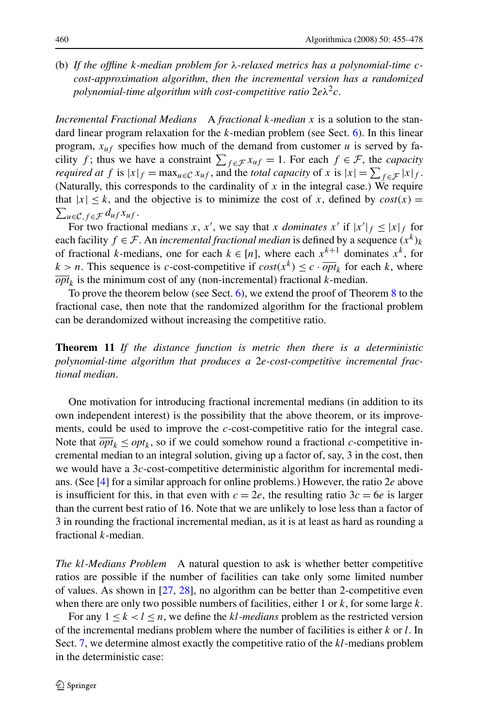<span id="page-5-0"></span>(b) *If the offline k-median problem for λ-relaxed metrics has a polynomial-time ccost-approximation algorithm*, *then the incremental version has a randomized polynomial-time algorithm with cost-competitive ratio*  $2e\lambda^2c$ .

*Incremental Fractional Medians* A *fractional k-median x* is a solution to the standard linear program relaxation for the *k*-median problem (see Sect. [6](#page-16-0)). In this linear program,  $x_{uf}$  specifies how much of the demand from customer  $u$  is served by facility *f*; thus we have a constraint  $\sum_{f \in \mathcal{F}} x_{uf} = 1$ . For each  $f \in \mathcal{F}$ , the *capacity required at*  $f$  is  $|x|_f = \max_{u \in C} x_{uf}$ , and the *total capacity* of  $x$  is  $|x| = \sum_{f \in \mathcal{F}} |x|_f$ . (Naturally, this corresponds to the cardinality of *x* in the integral case.) We require  $\sum_{u \in \mathcal{C}, f \in \mathcal{F}} d_{uf} x_{uf}.$ that  $|x| \leq k$ , and the objective is to minimize the cost of *x*, defined by  $cost(x) =$ 

For two fractional medians *x*, *x'*, we say that *x dominates x'* if  $|x'|_f \le |x|_f$  for each facility  $f \in \mathcal{F}$ . An *incremental fractional median* is defined by a sequence  $(x^k)_k$ of fractional *k*-medians, one for each  $k \in [n]$ , where each  $x^{k+1}$  dominates  $x^k$ , for  $k > n$ . This sequence is *c*-cost-competitive if  $cost(x^k) \leq c \cdot \overline{opt}_k$  for each *k*, where  $\overline{opt}_k$  is the minimum cost of any (non-incremental) fractional *k*-median.

To prove the theorem below (see Sect. [6\)](#page-16-0), we extend the proof of Theorem [8](#page-4-0) to the fractional case, then note that the randomized algorithm for the fractional problem can be derandomized without increasing the competitive ratio.

**Theorem 11** *If the distance function is metric then there is a deterministic polynomial-time algorithm that produces a* 2*e-cost-competitive incremental fractional median*.

One motivation for introducing fractional incremental medians (in addition to its own independent interest) is the possibility that the above theorem, or its improvements, could be used to improve the *c*-cost-competitive ratio for the integral case. Note that  $\overline{opt}_k \leq opt_k$ , so if we could somehow round a fractional *c*-competitive incremental median to an integral solution, giving up a factor of, say, 3 in the cost, then we would have a 3*c*-cost-competitive deterministic algorithm for incremental medians. (See [[4\]](#page-22-0) for a similar approach for online problems.) However, the ratio 2*e* above is insufficient for this, in that even with  $c = 2e$ , the resulting ratio  $3c = 6e$  is larger than the current best ratio of 16. Note that we are unlikely to lose less than a factor of 3 in rounding the fractional incremental median, as it is at least as hard as rounding a fractional *k*-median.

*The kl-Medians Problem* A natural question to ask is whether better competitive ratios are possible if the number of facilities can take only some limited number of values. As shown in [[27,](#page-23-0) [28\]](#page-23-0), no algorithm can be better than 2-competitive even when there are only two possible numbers of facilities, either 1 or *k*, for some large *k*.

For any  $1 \leq k < l \leq n$ , we define the *kl*-medians problem as the restricted version of the incremental medians problem where the number of facilities is either *k* or *l*. In Sect. [7,](#page-19-0) we determine almost exactly the competitive ratio of the *kl*-medians problem in the deterministic case: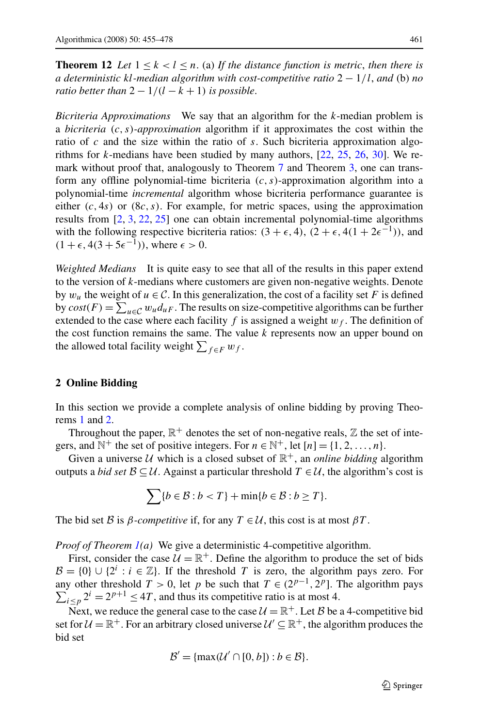<span id="page-6-0"></span>**Theorem 12** Let  $1 \leq k < l \leq n$ . (a) If the distance function is metric, then there is *a deterministic kl-median algorithm with cost-competitive ratio* 2 − 1*/l*, *and* (b) *no ratio better than*  $2 - 1/(l - k + 1)$  *is possible.* 

*Bicriteria Approximations* We say that an algorithm for the *k*-median problem is a *bicriteria (c,s)-approximation* algorithm if it approximates the cost within the ratio of *c* and the size within the ratio of *s*. Such bicriteria approximation algorithms for *k*-medians have been studied by many authors, [\[22](#page-23-0), [25](#page-23-0), [26,](#page-23-0) [30\]](#page-23-0). We remark without proof that, analogously to Theorem [7](#page-4-0) and Theorem [3,](#page-2-0) one can transform any offline polynomial-time bicriteria *(c,s)*-approximation algorithm into a polynomial-time *incremental* algorithm whose bicriteria performance guarantee is either  $(c, 4s)$  or  $(8c, s)$ . For example, for metric spaces, using the approximation results from [\[2](#page-22-0), [3](#page-22-0), [22](#page-23-0), [25](#page-23-0)] one can obtain incremental polynomial-time algorithms with the following respective bicriteria ratios:  $(3 + \epsilon, 4)$ ,  $(2 + \epsilon, 4(1 + 2\epsilon^{-1}))$ , and  $(1 + \epsilon, 4(3 + 5\epsilon^{-1})),$  where  $\epsilon > 0$ .

*Weighted Medians* It is quite easy to see that all of the results in this paper extend to the version of *k*-medians where customers are given non-negative weights. Denote by  $w_u$  the weight of  $u \in \mathcal{C}$ . In this generalization, the cost of a facility set *F* is defined by  $cost(F) = \sum_{u \in C} w_u d_{u}$ . The results on size-competitive algorithms can be further extended to the case where each facility  $f$  is assigned a weight  $w_f$ . The definition of the cost function remains the same. The value *k* represents now an upper bound on the allowed total facility weight  $\sum_{f \in F} w_f$ .

# **2 Online Bidding**

In this section we provide a complete analysis of online bidding by proving Theorems [1](#page-2-0) and [2](#page-2-0).

Throughout the paper,  $\mathbb{R}^+$  denotes the set of non-negative reals,  $\mathbb Z$  the set of integers, and  $\mathbb{N}^+$  the set of positive integers. For  $n \in \mathbb{N}^+$ , let  $[n] = \{1, 2, ..., n\}$ .

Given a universe U which is a closed subset of  $\mathbb{R}^+$ , an *online bidding* algorithm outputs a *bid set*  $\mathcal{B} \subseteq \mathcal{U}$ . Against a particular threshold  $T \in \mathcal{U}$ , the algorithm's cost is

$$
\sum \{b \in \mathcal{B} : b < T\} + \min \{b \in \mathcal{B} : b \geq T\}.
$$

The bid set B is  $\beta$ *-competitive* if, for any  $T \in \mathcal{U}$ , this cost is at most  $\beta T$ .

*Proof of Theorem [1](#page-2-0)(a)* We give a deterministic 4-competitive algorithm.

First, consider the case  $\mathcal{U} = \mathbb{R}^+$ . Define the algorithm to produce the set of bids  $\mathcal{B} = \{0\} \cup \{2^i : i \in \mathbb{Z}\}.$  If the threshold *T* is zero, the algorithm pays zero. For any other threshold  $T > 0$ , let p be such that  $T \in (2^{p-1}, 2^p]$ . The algorithm pays  $\sum_{i \leq p} 2^i = 2^{p+1} \leq 4T$ , and thus its competitive ratio is at most 4.

Next, we reduce the general case to the case  $\mathcal{U} = \mathbb{R}^+$ . Let B be a 4-competitive bid set for  $U = \mathbb{R}^+$ . For an arbitrary closed universe  $U' \subseteq \mathbb{R}^+$ , the algorithm produces the bid set

$$
\mathcal{B}' = \{\max(\mathcal{U}' \cap [0, b]): b \in \mathcal{B}\}.
$$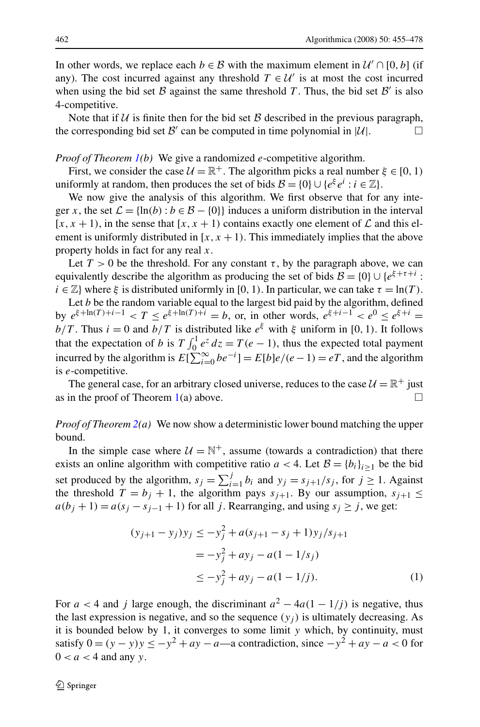<span id="page-7-0"></span>In other words, we replace each  $b \in \mathcal{B}$  with the maximum element in  $\mathcal{U}' \cap [0, b]$  (if any). The cost incurred against any threshold  $T \in \mathcal{U}'$  is at most the cost incurred when using the bid set B against the same threshold T. Thus, the bid set  $\mathcal{B}'$  is also 4-competitive.

Note that if  $U$  is finite then for the bid set  $B$  described in the previous paragraph, the corresponding bid set  $\mathcal{B}'$  can be computed in time polynomial in  $|\mathcal{U}|$ .

### *Proof of Theorem [1](#page-2-0)(b)* We give a randomized *e*-competitive algorithm.

First, we consider the case  $U = \mathbb{R}^+$ . The algorithm picks a real number  $\xi \in [0, 1)$ uniformly at random, then produces the set of bids  $\mathcal{B} = \{0\} \cup \{e^{\xi} e^{i} : i \in \mathbb{Z}\}.$ 

We now give the analysis of this algorithm. We first observe that for any integer *x*, the set  $\mathcal{L} = \{ln(b) : b \in \mathcal{B} - \{0\}\}\$  induces a uniform distribution in the interval  $[x, x + 1)$ , in the sense that  $[x, x + 1)$  contains exactly one element of  $\mathcal L$  and this element is uniformly distributed in  $[x, x + 1)$ . This immediately implies that the above property holds in fact for any real *x*.

Let  $T > 0$  be the threshold. For any constant  $\tau$ , by the paragraph above, we can equivalently describe the algorithm as producing the set of bids  $\mathcal{B} = \{0\} \cup \{e^{\xi + \tau + i} :$  $i \in \mathbb{Z}$  where  $\xi$  is distributed uniformly in [0, 1). In particular, we can take  $\tau = \ln(T)$ .

Let *b* be the random variable equal to the largest bid paid by the algorithm, defined by  $e^{\xi + \ln(T) + i - 1} < T \leq e^{\xi + \ln(T) + i} = b$ , or, in other words,  $e^{\xi + i - 1} < e^0 \leq e^{\xi + i} =$ *b/T*. Thus  $i = 0$  and  $b/T$  is distributed like  $e^{\xi}$  with  $\xi$  uniform in [0, 1). It follows that the expectation of *b* is  $T \int_0^1 e^z dz = T(e-1)$ , thus the expected total payment incurred by the algorithm is  $E[\sum_{i=0}^{\infty} be^{-i}] = E[b]e/(e-1) = eT$ , and the algorithm is *e*-competitive.

The general case, for an arbitrary closed universe, reduces to the case  $U = \mathbb{R}^+$  just as in the proof of Theorem  $1(a)$  $1(a)$  above.

# *Proof of Theorem [2\(](#page-2-0)a)* We now show a deterministic lower bound matching the upper bound.

In the simple case where  $U = \mathbb{N}^+$ , assume (towards a contradiction) that there exists an online algorithm with competitive ratio  $a < 4$ . Let  $B = \{b_i\}_{i \ge 1}$  be the bid set produced by the algorithm,  $s_j = \sum_{i=1}^j b_i$  and  $y_j = s_{j+1}/s_j$ , for  $j \ge 1$ . Against the threshold  $T = b_j + 1$ , the algorithm pays  $s_{j+1}$ . By our assumption,  $s_{j+1} \leq$  $a(b_j + 1) = a(s_j - s_{j-1} + 1)$  for all *j*. Rearranging, and using  $s_j \ge j$ , we get:

$$
(y_{j+1} - y_j)y_j \le -y_j^2 + a(s_{j+1} - s_j + 1)y_j/s_{j+1}
$$
  
=  $-y_j^2 + ay_j - a(1 - 1/s_j)$   
 $\le -y_j^2 + ay_j - a(1 - 1/j).$  (1)

For  $a < 4$  and *j* large enough, the discriminant  $a^2 - 4a(1 - 1/j)$  is negative, thus the last expression is negative, and so the sequence  $(y_i)$  is ultimately decreasing. As it is bounded below by 1, it converges to some limit *y* which, by continuity, must satisfy  $0 = (y - y)y \le -y^2 + ay - a$ —a contradiction, since  $-y^2 + ay - a < 0$  for  $0 < a < 4$  and any *y*.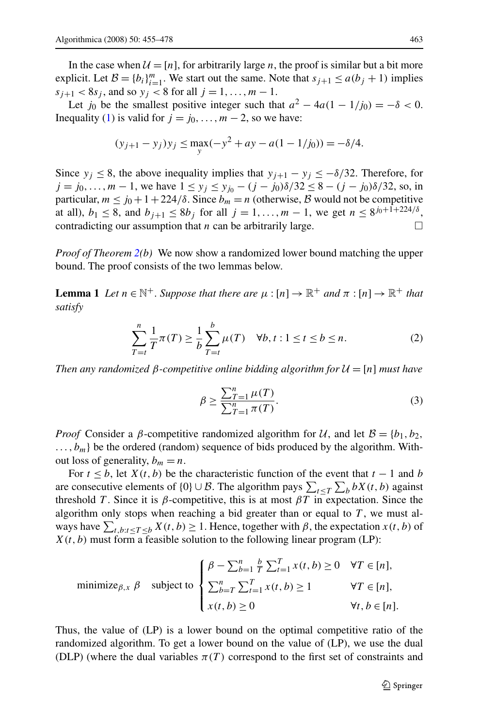<span id="page-8-0"></span>In the case when  $\mathcal{U} = [n]$ , for arbitrarily large *n*, the proof is similar but a bit more explicit. Let  $B = \{b_i\}_{i=1}^m$ . We start out the same. Note that  $s_{j+1} \le a(b_j + 1)$  implies  $s_{i+1} < 8s_i$ , and so  $y_i < 8$  for all  $j = 1, ..., m - 1$ .

Let *j*<sub>0</sub> be the smallest positive integer such that  $a^2 - 4a(1 - 1/j_0) = -\delta < 0$ . Inequality [\(1\)](#page-7-0) is valid for  $j = j_0, \ldots, m-2$ , so we have:

$$
(y_{j+1} - y_j)y_j \le \max_{y} (-y^2 + ay - a(1 - 1/j_0)) = -\delta/4.
$$

Since  $y_j \le 8$ , the above inequality implies that  $y_{j+1} - y_j \le -\delta/32$ . Therefore, for *j* = *j*<sub>0</sub>*,...,m* − 1, we have  $1 \le y_j \le y_{j_0} - (j - j_0) \delta / 32 \le 8 - (j - j_0) \delta / 32$ , so, in particular,  $m \le j_0 + 1 + 224/\delta$ . Since  $b_m = n$  (otherwise, B would not be competitive at all),  $b_1 \le 8$ , and  $b_{j+1} \le 8b_j$  for all  $j = 1, ..., m - 1$ , we get  $n \le 8^{j_0 + 1 + 224/8}$ , contradicting our assumption that *n* can be arbitrarily large.  $\Box$ 

*Proof of Theorem [2](#page-2-0)(b)* We now show a randomized lower bound matching the upper bound. The proof consists of the two lemmas below.

**Lemma 1** *Let*  $n \in \mathbb{N}^+$ *. Suppose that there are*  $\mu : [n] \to \mathbb{R}^+$  *and*  $\pi : [n] \to \mathbb{R}^+$  *that satisfy*

$$
\sum_{T=t}^{n} \frac{1}{T} \pi(T) \ge \frac{1}{b} \sum_{T=t}^{b} \mu(T) \quad \forall b, t : 1 \le t \le b \le n.
$$
 (2)

*Then any randomized β*-competitive online bidding algorithm for  $U = [n]$  must have

$$
\beta \ge \frac{\sum_{T=1}^{n} \mu(T)}{\sum_{T=1}^{n} \pi(T)}.
$$
\n(3)

*Proof* Consider a *β*-competitive randomized algorithm for U, and let  $B = \{b_1, b_2,$  $\ldots$ ,  $b_m$ } be the ordered (random) sequence of bids produced by the algorithm. Without loss of generality,  $b_m = n$ .

For  $t \leq b$ , let  $X(t, b)$  be the characteristic function of the event that  $t - 1$  and *b* are consecutive elements of  $\{0\} \cup \mathcal{B}$ . The algorithm pays  $\sum_{t \leq T} \sum_{b} bX(t, b)$  against threshold *T*. Since it is  $\beta$ -competitive, this is at most  $\beta T$  in expectation. Since the algorithm only stops when reaching a bid greater than or equal to  $T$ , we must always have  $\sum_{t,b:t \leq T \leq b} X(t,b) \geq 1$ . Hence, together with  $\beta$ , the expectation  $x(t,b)$  of  $X(t, b)$  must form a feasible solution to the following linear program (LP):

minimize<sub>$$
\beta
$$</sub>,  $\beta$  subject to 
$$
\begin{cases} \beta - \sum_{b=1}^{n} \frac{b}{T} \sum_{t=1}^{T} x(t, b) \ge 0 & \forall T \in [n], \\ \sum_{b=T}^{n} \sum_{t=1}^{T} x(t, b) \ge 1 & \forall T \in [n], \\ x(t, b) \ge 0 & \forall t, b \in [n]. \end{cases}
$$

Thus, the value of (LP) is a lower bound on the optimal competitive ratio of the randomized algorithm. To get a lower bound on the value of (LP), we use the dual (DLP) (where the dual variables  $\pi(T)$  correspond to the first set of constraints and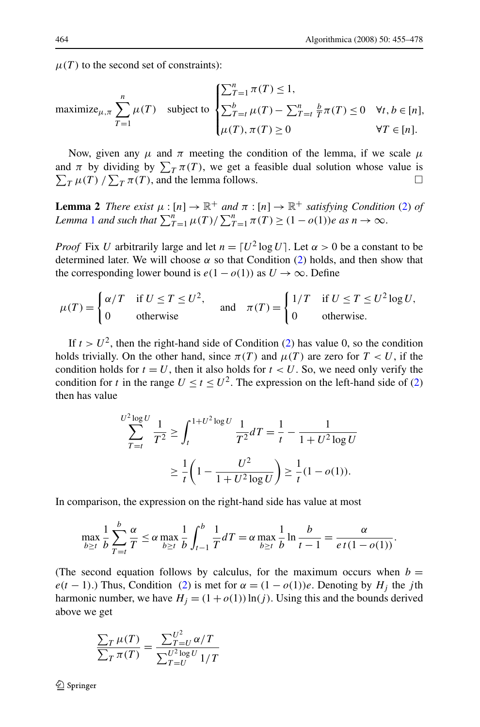<span id="page-9-0"></span> $\mu(T)$  to the second set of constraints):

$$
\text{maximize}_{\mu,\pi} \sum_{T=1}^{n} \mu(T) \quad \text{subject to } \begin{cases} \sum_{T=1}^{n} \pi(T) \leq 1, \\ \sum_{T=t}^{b} \mu(T) - \sum_{T=t}^{n} \frac{b}{T} \pi(T) \leq 0 & \forall t, b \in [n], \\ \mu(T), \pi(T) \geq 0 & \forall T \in [n]. \end{cases}
$$

Now, given any  $\mu$  and  $\pi$  meeting the condition of the lemma, if we scale  $\mu$ and  $\pi$  by dividing by  $\sum_{T} \pi(T)$ , we get a feasible dual solution whose value is  $\sum_{T} \mu(T) / \sum_{T} \pi(T)$ , and the lemma follows.

**Lemma 2** *There exist*  $\mu : [n] \to \mathbb{R}^+$  *and*  $\pi : [n] \to \mathbb{R}^+$  *satisfying Condition* [\(2](#page-8-0)) *of Lemma* [1](#page-8-0) *and such that*  $\sum_{T=1}^{n} \mu(T) / \sum_{T=1}^{n} \pi(T) \geq (1 - o(1))e$  *as*  $n \to \infty$ .

*Proof* Fix *U* arbitrarily large and let  $n = [U^2 \log U]$ . Let  $\alpha > 0$  be a constant to be determined later. We will choose  $\alpha$  so that Condition [\(2](#page-8-0)) holds, and then show that the corresponding lower bound is  $e(1 - o(1))$  as  $U \rightarrow \infty$ . Define

$$
\mu(T) = \begin{cases} \alpha/T & \text{if } U \le T \le U^2, \\ 0 & \text{otherwise} \end{cases} \quad \text{and} \quad \pi(T) = \begin{cases} 1/T & \text{if } U \le T \le U^2 \log U, \\ 0 & \text{otherwise.} \end{cases}
$$

If  $t > U^2$  $t > U^2$ , then the right-hand side of Condition (2) has value 0, so the condition holds trivially. On the other hand, since  $\pi(T)$  and  $\mu(T)$  are zero for  $T < U$ , if the condition holds for  $t = U$ , then it also holds for  $t < U$ . So, we need only verify the condition for *t* in the range  $U \le t \le U^2$ . The expression on the left-hand side of [\(2](#page-8-0)) then has value

$$
\sum_{T=t}^{U^2 \log U} \frac{1}{T^2} \ge \int_t^{1+U^2 \log U} \frac{1}{T^2} dT = \frac{1}{t} - \frac{1}{1+U^2 \log U}
$$

$$
\ge \frac{1}{t} \left(1 - \frac{U^2}{1+U^2 \log U}\right) \ge \frac{1}{t} (1 - o(1)).
$$

In comparison, the expression on the right-hand side has value at most

$$
\max_{b \ge t} \frac{1}{b} \sum_{T=t}^{b} \frac{\alpha}{T} \le \alpha \max_{b \ge t} \frac{1}{b} \int_{t-1}^{b} \frac{1}{T} dT = \alpha \max_{b \ge t} \frac{1}{b} \ln \frac{b}{t-1} = \frac{\alpha}{e t (1 - o(1))}.
$$

(The second equation follows by calculus, for the maximum occurs when  $b =$  $e(t-1)$ .) Thus, Condition ([2\)](#page-8-0) is met for  $\alpha = (1 - o(1))e$ . Denoting by  $H_i$  the *j*th harmonic number, we have  $H_j = (1 + o(1)) \ln(j)$ . Using this and the bounds derived above we get

$$
\frac{\sum_T \mu(T)}{\sum_T \pi(T)} = \frac{\sum_{T=U}^{U^2} \alpha/T}{\sum_{T=U}^{U^2 \log U} 1/T}
$$

 $\mathcal{D}$  Springer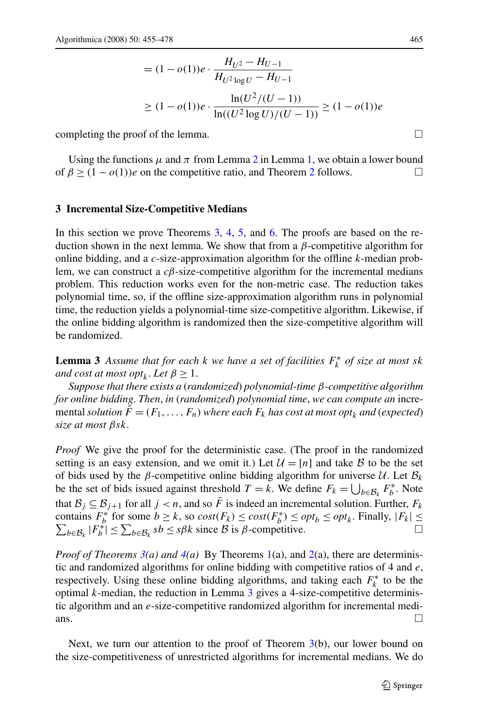$$
= (1 - o(1))e \cdot \frac{H_{U^2} - H_{U-1}}{H_{U^2 \log U} - H_{U-1}}
$$
  
\n
$$
\geq (1 - o(1))e \cdot \frac{\ln(U^2/(U - 1))}{\ln((U^2 \log U)/(U - 1))} \geq (1 - o(1))e
$$

<span id="page-10-0"></span>completing the proof of the lemma.  $\Box$ 

Using the functions  $\mu$  and  $\pi$  from Lemma [2](#page-9-0) in Lemma [1](#page-8-0), we obtain a lower bound of  $\beta \ge (1 - o(1))e$  on the competitive ratio, and Theorem [2](#page-2-0) follows.

### **3 Incremental Size-Competitive Medians**

In this section we prove Theorems [3](#page-2-0), [4](#page-3-0), [5](#page-3-0), and [6.](#page-3-0) The proofs are based on the reduction shown in the next lemma. We show that from a *β*-competitive algorithm for online bidding, and a *c*-size-approximation algorithm for the offline *k*-median problem, we can construct a *cβ*-size-competitive algorithm for the incremental medians problem. This reduction works even for the non-metric case. The reduction takes polynomial time, so, if the offline size-approximation algorithm runs in polynomial time, the reduction yields a polynomial-time size-competitive algorithm. Likewise, if the online bidding algorithm is randomized then the size-competitive algorithm will be randomized.

**Lemma 3** *Assume that for each*  $k$  *we have a set of facilities*  $F_k^*$  *of size at most sk and cost at most opt<sub>k</sub>*. *Let*  $\beta \geq 1$ .

*Suppose that there exists a* (*randomized*) *polynomial-time β-competitive algorithm for online bidding*. *Then*, *in* (*randomized*) *polynomial time*, *we can compute an* incremental *solution*  $\bar{F} = (F_1, \ldots, F_n)$  *where each*  $F_k$  *has cost at most opt<sub>k</sub> and* (*expected*) *size at most βsk*.

*Proof* We give the proof for the deterministic case. (The proof in the randomized setting is an easy extension, and we omit it.) Let  $\mathcal{U} = [n]$  and take  $\mathcal{B}$  to be the set of bids used by the *β*-competitive online bidding algorithm for universe  $U$ . Let  $B_k$ be the set of bids issued against threshold  $T = k$ . We define  $F_k = \bigcup_{b \in \mathcal{B}_k} F_b^*$ . Note that  $\mathcal{B}_i \subseteq \mathcal{B}_{i+1}$  for all  $j < n$ , and so  $\overline{F}$  is indeed an incremental solution. Further,  $F_k$ contains  $F_b^*$  for some  $b \ge k$ , so  $cost(F_k) \le cost(F_b^*) \le opt_b \le opt_k$ . Finally,  $|F_k| \le$  $\sum_{b \in \mathcal{B}_k} |F_b^*| \leq \sum_{b \in \mathcal{B}_k} s b \leq s \beta k$  since  $\beta$  is  $\beta$ -competitive.

*Proof of Theorems [3](#page-2-0)(a) and [4\(](#page-3-0)a)* By Theorems [1](#page-2-0)(a), and [2\(](#page-2-0)a), there are deterministic and randomized algorithms for online bidding with competitive ratios of 4 and *e*, respectively. Using these online bidding algorithms, and taking each  $F_k^*$  to be the optimal *k*-median, the reduction in Lemma 3 gives a 4-size-competitive deterministic algorithm and an *e*-size-competitive randomized algorithm for incremental medians.  $\Box$ 

Next, we turn our attention to the proof of Theorem [3](#page-2-0)(b), our lower bound on the size-competitiveness of unrestricted algorithms for incremental medians. We do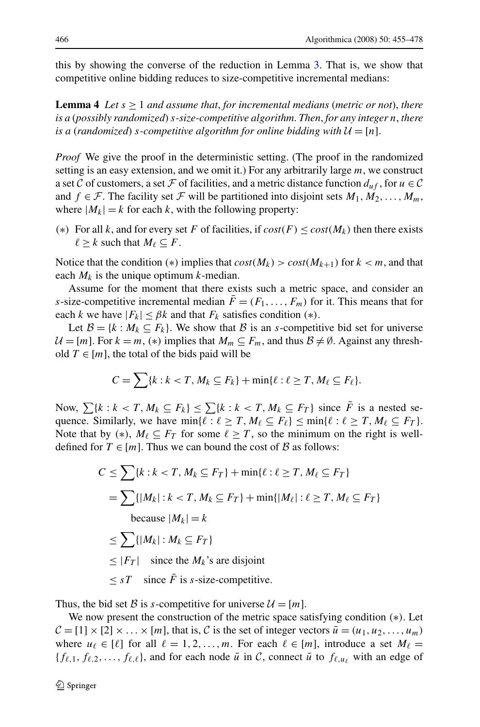<span id="page-11-0"></span>this by showing the converse of the reduction in Lemma [3.](#page-10-0) That is, we show that competitive online bidding reduces to size-competitive incremental medians:

**Lemma 4** Let  $s \geq 1$  and assume that, for incremental medians (metric or not), there *is a* (*possibly randomized*) *s-size-competitive algorithm*. *Then*, *for any integer n*, *there is a (randomized) s-competitive algorithm for online bidding with*  $\mathcal{U} = [n]$ .

*Proof* We give the proof in the deterministic setting. (The proof in the randomized setting is an easy extension, and we omit it.) For any arbitrarily large *m*, we construct a set C of customers, a set F of facilities, and a metric distance function  $d_{uf}$ , for  $u \in \mathcal{C}$ and *f*  $\in \mathcal{F}$ . The facility set  $\mathcal{F}$  will be partitioned into disjoint sets  $M_1, M_2, \ldots, M_m$ , where  $|M_k| = k$  for each k, with the following property:

*(*∗*)* For all *k*, and for every set *F* of facilities, if *cost(F)* ≤ *cost(Mk)* then there exists  $\ell \geq k$  such that  $M_{\ell} \subseteq F$ .

Notice that the condition (\*) implies that  $cost(M_k) > cost(M_{k+1})$  for  $k < m$ , and that each  $M_k$  is the unique optimum  $k$ -median.

Assume for the moment that there exists such a metric space, and consider an *s*-size-competitive incremental median  $\bar{F} = (F_1, \ldots, F_m)$  for it. This means that for each *k* we have  $|F_k| \leq \beta k$  and that  $F_k$  satisfies condition (\*).

Let  $\mathcal{B} = \{k : M_k \subseteq F_k\}$ . We show that  $\mathcal{B}$  is an *s*-competitive bid set for universe  $U = [m]$ . For  $k = m$ ,  $(*)$  implies that  $M_m \subseteq F_m$ , and thus  $B \neq \emptyset$ . Against any threshold  $T \in [m]$ , the total of the bids paid will be

$$
C = \sum \{k : k < T, M_k \subseteq F_k\} + \min \{\ell : \ell \geq T, M_\ell \subseteq F_\ell\}.
$$

Now,  $\sum \{k : k < T, M_k \subseteq F_k\} \leq \sum \{k : k < T, M_k \subseteq F_T\}$  since  $\overline{F}$  is a nested sequence. Similarly, we have  $\min\{\ell : \ell \geq T, M_{\ell} \subseteq F_{\ell}\}\leq \min\{\ell : \ell \geq T, M_{\ell} \subseteq F_T\}.$ Note that by  $(*)$ ,  $M_{\ell} \subseteq F_T$  for some  $\ell \geq T$ , so the minimum on the right is welldefined for  $T \in [m]$ . Thus we can bound the cost of  $\beta$  as follows:

$$
C \leq \sum \{k : k < T, M_k \subseteq F_T\} + \min \{\ell : \ell \geq T, M_\ell \subseteq F_T\}
$$
\n
$$
= \sum \{ |M_k| : k < T, M_k \subseteq F_T\} + \min \{ |M_\ell| : \ell \geq T, M_\ell \subseteq F_T\}
$$
\n
$$
\text{because } |M_k| = k
$$
\n
$$
\leq \sum \{ |M_k| : M_k \subseteq F_T\}
$$
\n
$$
\leq |F_T| \quad \text{since the } M_k \text{'s are disjoint}
$$
\n
$$
\leq sT \quad \text{since } \bar{F} \text{ is } s\text{-size-competitive.}
$$

Thus, the bid set B is *s*-competitive for universe  $\mathcal{U} = [m]$ .

We now present the construction of the metric space satisfying condition *(*∗*)*. Let  $\mathcal{C} = [1] \times [2] \times \ldots \times [m]$ , that is, C is the set of integer vectors  $\bar{u} = (u_1, u_2, \ldots, u_m)$ where  $u_{\ell} \in [\ell]$  for all  $\ell = 1, 2, ..., m$ . For each  $\ell \in [m]$ , introduce a set  $M_{\ell} =$  ${f_{\ell,1}, f_{\ell,2}, \ldots, f_{\ell,\ell}}$ , and for each node  $\bar{u}$  in C, connect  $\bar{u}$  to  $f_{\ell,u_{\ell}}$  with an edge of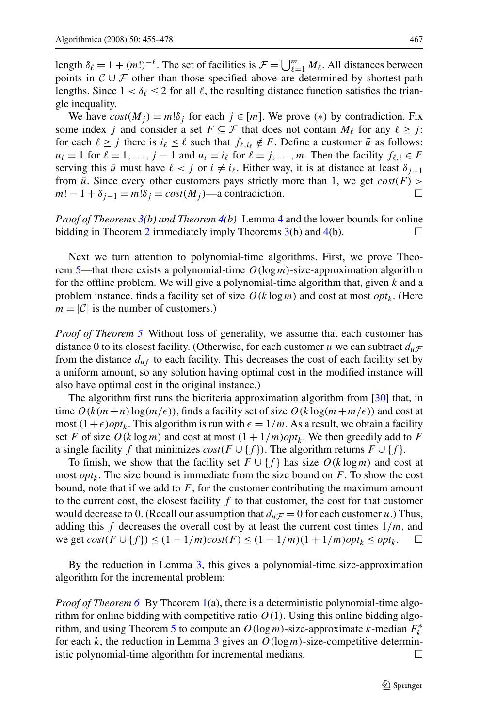length  $\delta_{\ell} = 1 + (m!)^{-\ell}$ . The set of facilities is  $\mathcal{F} = \bigcup_{\ell=1}^{m} M_{\ell}$ . All distances between points in  $\mathcal{C} \cup \mathcal{F}$  other than those specified above are determined by shortest-path lengths. Since  $1 < \delta_\ell \leq 2$  for all  $\ell$ , the resulting distance function satisfies the triangle inequality.

We have  $cost(M_i) = m! \delta_i$  for each  $j \in [m]$ . We prove  $(*)$  by contradiction. Fix some index *j* and consider a set  $F \subseteq \mathcal{F}$  that does not contain  $M_{\ell}$  for any  $\ell \geq j$ : for each  $\ell \geq j$  there is  $i_{\ell} \leq \ell$  such that  $f_{\ell, i_{\ell}} \notin F$ . Define a customer  $\bar{u}$  as follows:  $u_i = 1$  for  $\ell = 1, \ldots, j - 1$  and  $u_i = i_\ell$  for  $\ell = j, \ldots, m$ . Then the facility  $f_{\ell,i} \in F$ serving this  $\bar{u}$  must have  $\ell < j$  or  $i \neq i_{\ell}$ . Either way, it is at distance at least  $\delta_{j-1}$ from  $\bar{u}$ . Since every other customers pays strictly more than 1, we get  $cost(F)$  >  $m! - 1 + \delta_{i-1} = m! \delta_i = cost(M_i)$ —a contradiction.  $\Box$ 

*Proof of Theorems [3\(](#page-2-0)b) and Theorem [4](#page-3-0)(b)* Lemma [4](#page-11-0) and the lower bounds for online bidding in Theorem [2](#page-2-0) immediately imply Theorems  $3(b)$  $3(b)$  and  $4(b)$  $4(b)$ .

Next we turn attention to polynomial-time algorithms. First, we prove Theorem [5](#page-3-0)—that there exists a polynomial-time *O(*log*m)*-size-approximation algorithm for the offline problem. We will give a polynomial-time algorithm that, given *k* and a problem instance, finds a facility set of size  $O(k \log m)$  and cost at most *opt<sub>k</sub>*. (Here  $m = |\mathcal{C}|$  is the number of customers.)

*Proof of Theorem [5](#page-3-0)* Without loss of generality, we assume that each customer has distance 0 to its closest facility. (Otherwise, for each customer *u* we can subtract  $d_u$   $\mathcal{F}$ from the distance  $d_{uf}$  to each facility. This decreases the cost of each facility set by a uniform amount, so any solution having optimal cost in the modified instance will also have optimal cost in the original instance.)

The algorithm first runs the bicriteria approximation algorithm from [\[30](#page-23-0)] that, in time  $O(k(m+n)\log(m/\epsilon))$ , finds a facility set of size  $O(k\log(m+m/\epsilon))$  and cost at most  $(1+\epsilon)$ *opt<sub>k</sub>*. This algorithm is run with  $\epsilon = 1/m$ . As a result, we obtain a facility set *F* of size  $O(k \log m)$  and cost at most  $(1 + 1/m)$ *opt<sub>k</sub>*. We then greedily add to *F* a single facility *f* that minimizes  $cost(F \cup \{f\})$ . The algorithm returns  $F \cup \{f\}$ .

To finish, we show that the facility set  $F \cup \{f\}$  has size  $O(k \log m)$  and cost at most  $opt_k$ . The size bound is immediate from the size bound on  $F$ . To show the cost bound, note that if we add to  $F$ , for the customer contributing the maximum amount to the current cost, the closest facility  $f$  to that customer, the cost for that customer would decrease to 0. (Recall our assumption that  $d_u\mathcal{F} = 0$  for each customer *u*.) Thus, adding this *f* decreases the overall cost by at least the current cost times  $1/m$ , and we get  $cost(F \cup \{f\})$  ≤  $(1 - 1/m)cost(F)$  ≤  $(1 - 1/m)(1 + 1/m)opt_k$  ≤  $opt_k$ .  $\Box$ 

By the reduction in Lemma [3,](#page-10-0) this gives a polynomial-time size-approximation algorithm for the incremental problem:

*Proof of Theorem* [6](#page-3-0) By Theorem [1](#page-2-0)(a), there is a deterministic polynomial-time algorithm for online bidding with competitive ratio  $O(1)$ . Using this online bidding algo-rithm, and using Theorem [5](#page-3-0) to compute an  $O(\log m)$ -size-approximate *k*-median  $F_k^*$ for each *k*, the reduction in Lemma [3](#page-10-0) gives an  $O(log m)$ -size-competitive deterministic polynomial-time algorithm for incremental medians.  $\Box$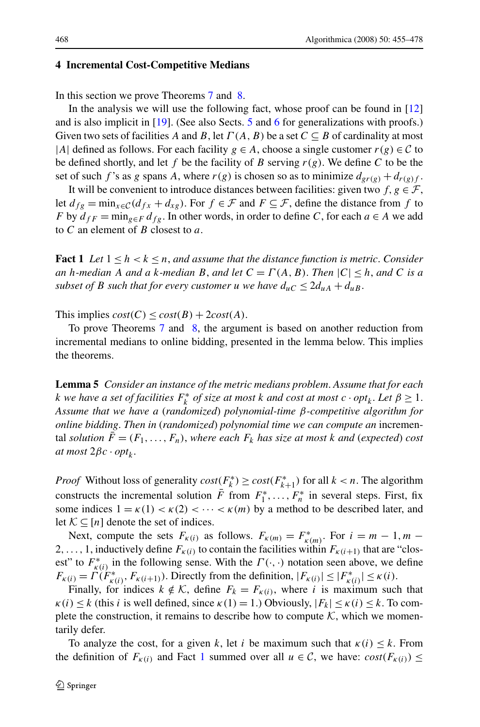### <span id="page-13-0"></span>**4 Incremental Cost-Competitive Medians**

In this section we prove Theorems [7](#page-4-0) and [8](#page-4-0).

In the analysis we will use the following fact, whose proof can be found in [\[12](#page-22-0)] and is also implicit in [\[19](#page-22-0)]. (See also Sects. [5](#page-15-0) and [6](#page-16-0) for generalizations with proofs.) Given two sets of facilities *A* and *B*, let  $\Gamma(A, B)$  be a set  $C \subseteq B$  of cardinality at most |*A*| defined as follows. For each facility  $g \in A$ , choose a single customer  $r(g) \in C$  to be defined shortly, and let f be the facility of B serving  $r(g)$ . We define C to be the set of such *f*'s as *g* spans *A*, where  $r(g)$  is chosen so as to minimize  $d_{gr(g)} + d_{r(g)}f$ .

It will be convenient to introduce distances between facilities: given two  $f, g \in \mathcal{F}$ , let  $d_{fg} = \min_{x \in \mathcal{C}} (d_{fx} + d_{xg})$ . For  $f \in \mathcal{F}$  and  $F \subseteq \mathcal{F}$ , define the distance from f to *F* by  $d_{fF} = \min_{g \in F} d_{fg}$ . In other words, in order to define *C*, for each  $a \in A$  we add to *C* an element of *B* closest to *a*.

**Fact 1** *Let*  $1 \leq h \leq k \leq n$ , *and assume that the distance function is metric. Consider an h*-median A and a *k*-median B, and let  $C = \Gamma(A, B)$ . Then  $|C| \leq h$ , and C is a *subset of B such that for every customer u we have*  $d_{\mu C} \leq 2d_{\mu A} + d_{\mu B}$ .

This implies  $cost(C) \leq cost(B) + 2cost(A)$ .

To prove Theorems [7](#page-4-0) and [8,](#page-4-0) the argument is based on another reduction from incremental medians to online bidding, presented in the lemma below. This implies the theorems.

**Lemma 5** *Consider an instance of the metric medians problem*. *Assume that for each k* we have a set of facilities  $F_k^*$  of size at most *k* and cost at most  $c \cdot opt_k$ . Let  $\beta \geq 1$ . *Assume that we have a* (*randomized*) *polynomial-time β-competitive algorithm for online bidding*. *Then in* (*randomized*) *polynomial time we can compute an* incremental *solution*  $\bar{F} = (F_1, \ldots, F_n)$ , where each  $F_k$  has size at most k and (expected) cost *at most*  $2βc \cdot opt_k$ .

*Proof* Without loss of generality  $cost(F_k^*) \geq cost(F_{k+1}^*)$  for all  $k < n$ . The algorithm constructs the incremental solution  $\overline{F}$  from  $F_1^*, \ldots, F_n^*$  in several steps. First, fix some indices  $1 = \kappa(1) < \kappa(2) < \cdots < \kappa(m)$  by a method to be described later, and let  $K \subset [n]$  denote the set of indices.

Next, compute the sets  $F_{\kappa(i)}$  as follows.  $F_{\kappa(m)} = F_{\kappa(m)}^*$ . For  $i = m - 1, m - 1$ 2,..., 1, inductively define  $F_{\kappa(i)}$  to contain the facilities within  $F_{\kappa(i+1)}$  that are "closest" to  $F^*_{\kappa(i)}$  in the following sense. With the  $\Gamma(\cdot, \cdot)$  notation seen above, we define  $F_{\kappa(i)} = \tilde{\Gamma}(F^*_{\kappa(i)}, F_{\kappa(i+1)}).$  Directly from the definition,  $|F_{\kappa(i)}| \leq |F^*_{\kappa(i)}| \leq \kappa(i).$ 

Finally, for indices  $k \notin \mathcal{K}$ , define  $F_k = F_{\kappa(i)}$ , where *i* is maximum such that  $\kappa(i) \leq k$  (this *i* is well defined, since  $\kappa(1) = 1$ .) Obviously,  $|F_k| \leq \kappa(i) \leq k$ . To complete the construction, it remains to describe how to compute  $K$ , which we momentarily defer.

To analyze the cost, for a given *k*, let *i* be maximum such that  $\kappa(i) \leq k$ . From the definition of  $F_{\kappa(i)}$  and Fact 1 summed over all  $u \in \mathcal{C}$ , we have:  $cost(F_{\kappa(i)}) \le$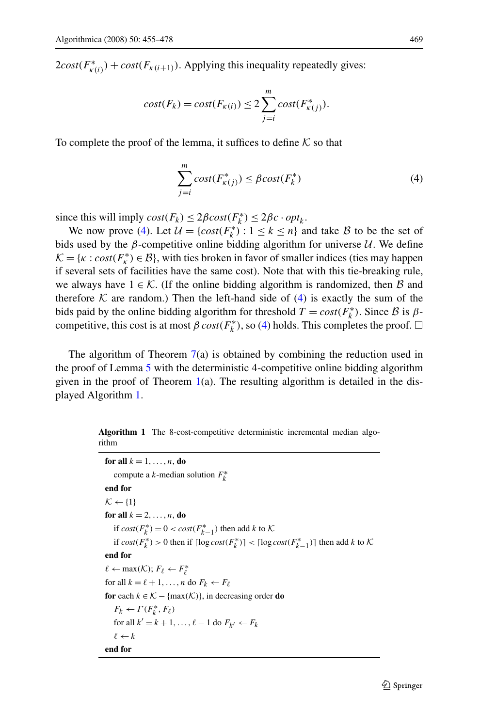$2\cos\left(\frac{F_{\kappa(i)}}{F_{\kappa(i)}}\right) + \cos\left(\frac{F_{\kappa(i+1)}}{F_{\kappa(i)}}\right)$ . Applying this inequality repeatedly gives:

$$
cost(F_k) = cost(F_{\kappa(i)}) \le 2 \sum_{j=i}^{m} cost(F_{\kappa(j)}^*).
$$

To complete the proof of the lemma, it suffices to define  $K$  so that

$$
\sum_{j=i}^{m} cost(F_{\kappa(j)}^{*}) \le \beta cost(F_{k}^{*})
$$
\n(4)

since this will imply  $cost(F_k) \leq 2\beta cost(F_k^*) \leq 2\beta c \cdot opt_k$ .

We now prove (4). Let  $\mathcal{U} = \{ cost(F_k^*) : 1 \le k \le n \}$  and take  $\mathcal{B}$  to be the set of bids used by the  $\beta$ -competitive online bidding algorithm for universe U. We define  $\mathcal{K} = \{k : cost(F^*_k) \in \mathcal{B}\}\$ , with ties broken in favor of smaller indices (ties may happen if several sets of facilities have the same cost). Note that with this tie-breaking rule, we always have  $1 \in \mathcal{K}$ . (If the online bidding algorithm is randomized, then B and therefore K are random.) Then the left-hand side of  $(4)$  is exactly the sum of the bids paid by the online bidding algorithm for threshold  $T = cost(F_k^*)$ . Since B is  $\beta$ competitive, this cost is at most  $\beta \text{ cost}(F_k^*)$ , so (4) holds. This completes the proof.  $\Box$ 

The algorithm of Theorem  $7(a)$  $7(a)$  is obtained by combining the reduction used in the proof of Lemma [5](#page-13-0) with the deterministic 4-competitive online bidding algorithm given in the proof of Theorem  $1(a)$  $1(a)$ . The resulting algorithm is detailed in the displayed Algorithm 1.

**Algorithm 1** The 8-cost-competitive deterministic incremental median algorithm

```
for all k = 1, \ldots, n, do
    compute a k-median solution F∗
k
end for
K \leftarrow \{1\}for all k = 2, \ldots, n, do
    if cost(F_k^*) = 0 < cost(F_{k-1}^*) then add k to K
    if cost(F_k^*) > 0 then if \lceil log cost(F_k^*) \rceil < \lceil log cost(F_{k-1}^*) \rceil then add k to K
end for
\ell \leftarrow \max(\mathcal{K}); F_{\ell} \leftarrow F_{\ell}^*for all k = \ell + 1, \ldots, n do F_k \leftarrow F_\ellfor each k \in \mathcal{K} - \{\max(\mathcal{K})\}\), in decreasing order do
    F_k \leftarrow \Gamma(F_k^*, F_\ell)for all k' = k + 1, \ldots, \ell - 1 do F_{k'} \leftarrow F_k\ell \leftarrow kend for
```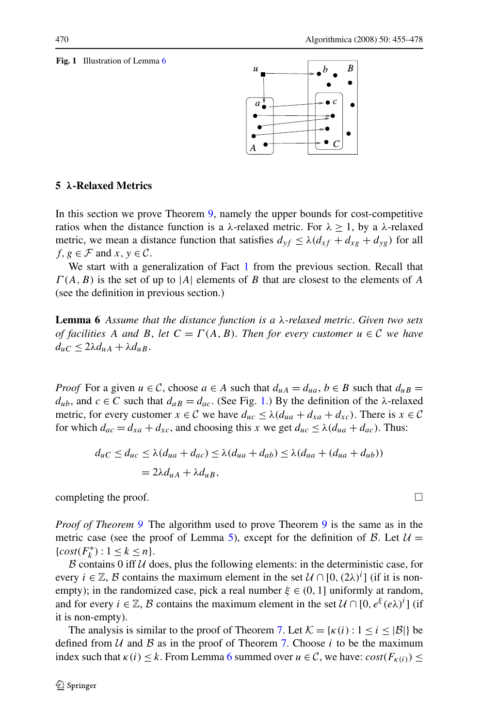#### <span id="page-15-0"></span>**Fig. 1** Illustration of Lemma 6



# **5** *λ***-Relaxed Metrics**

In this section we prove Theorem [9,](#page-4-0) namely the upper bounds for cost-competitive ratios when the distance function is a  $\lambda$ -relaxed metric. For  $\lambda \geq 1$ , by a  $\lambda$ -relaxed metric, we mean a distance function that satisfies  $d_{vf} \leq \lambda (d_{xf} + d_{xg} + d_{yg})$  for all *f*,  $g \in \mathcal{F}$  and  $x, y \in \mathcal{C}$ .

We start with a generalization of Fact [1](#page-13-0) from the previous section. Recall that *Γ (A,B)* is the set of up to |*A*| elements of *B* that are closest to the elements of *A* (see the definition in previous section.)

**Lemma 6** *Assume that the distance function is a λ-relaxed metric*. *Given two sets of facilities A and B*, *let*  $C = \Gamma(A, B)$ *. Then for every customer*  $u \in C$  *we have*  $d_{\mu}C \leq 2\lambda d_{\mu}A + \lambda d_{\mu}B$ .

*Proof* For a given  $u \in C$ , choose  $a \in A$  such that  $d_{uA} = d_{ua}$ ,  $b \in B$  such that  $d_{uB} =$  $d<sub>u</sub>b$ , and *c* ∈ *C* such that  $d<sub>a</sub>B$  =  $d<sub>ac</sub>$ . (See Fig. 1.) By the definition of the *λ*-relaxed metric, for every customer  $x \in \mathcal{C}$  we have  $d_{uc} \leq \lambda (d_{ua} + d_{xa} + d_{xc})$ . There is  $x \in \mathcal{C}$ for which  $d_{ac} = d_{xa} + d_{xc}$ , and choosing this *x* we get  $d_{uc} \le \lambda (d_{ua} + d_{ac})$ . Thus:

$$
d_{uC} \le d_{uc} \le \lambda (d_{ua} + d_{ac}) \le \lambda (d_{ua} + d_{ab}) \le \lambda (d_{ua} + (d_{ua} + d_{ub}))
$$
  
= 2\lambda d\_{ua} + \lambda d\_{ub},

completing the proof.  $\Box$ 

*Proof of Theorem* [9](#page-4-0) The algorithm used to prove Theorem 9 is the same as in the metric case (see the proof of Lemma [5\)](#page-13-0), except for the definition of  $\beta$ . Let  $\mathcal{U} =$ {*cost*( $F_k^*$ ) :  $1 \leq k \leq n$  }.

 $\beta$  contains 0 iff  $\mathcal U$  does, plus the following elements: in the deterministic case, for every  $i \in \mathbb{Z}$ , B contains the maximum element in the set  $\mathcal{U} \cap [0, (2\lambda)^{i}]$  (if it is nonempty); in the randomized case, pick a real number  $\xi \in (0, 1]$  uniformly at random, and for every  $i \in \mathbb{Z}$ , B contains the maximum element in the set  $\mathcal{U} \cap [0, e^{\xi}(e\lambda)^{i}]$  (if it is non-empty).

The analysis is similar to the proof of Theorem [7.](#page-4-0) Let  $\mathcal{K} = {\kappa(i) : 1 \le i \le |\mathcal{B}|}$  be defined from  $U$  and  $B$  as in the proof of Theorem [7](#page-4-0). Choose *i* to be the maximum index such that  $\kappa(i) \leq k$ . From Lemma 6 summed over  $u \in \mathcal{C}$ , we have:  $cost(F_{\kappa(i)}) \leq$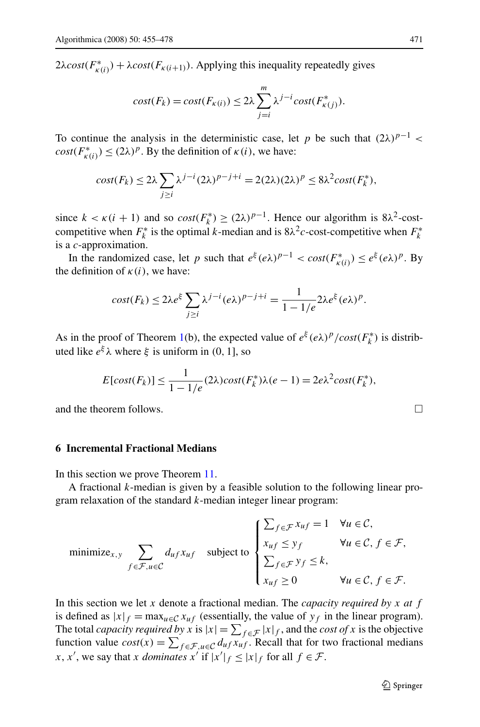<span id="page-16-0"></span> $2\lambda \cos\left(\frac{F_{\kappa(i)}}{F_{\kappa(i)}}\right) + \lambda \cos\left(\frac{F_{\kappa(i+1)}}{F_{\kappa(i+1)}}\right)$ . Applying this inequality repeatedly gives

$$
cost(F_k) = cost(F_{\kappa(i)}) \le 2\lambda \sum_{j=i}^{m} \lambda^{j-i} cost(F_{\kappa(j)}^*).
$$

To continue the analysis in the deterministic case, let *p* be such that  $(2\lambda)^{p-1}$  <  $cost(F^*_{\kappa(i)}) \leq (2\lambda)^p$ . By the definition of  $\kappa(i)$ , we have:

$$
cost(F_k) \le 2\lambda \sum_{j\ge i} \lambda^{j-i} (2\lambda)^{p-j+i} = 2(2\lambda)(2\lambda)^p \le 8\lambda^2 cost(F_k^*),
$$

since  $k < \kappa (i + 1)$  and so  $cost(F_k^*) \ge (2\lambda)^{p-1}$ . Hence our algorithm is  $8\lambda^2$ -costcompetitive when  $F_k^*$  is the optimal *k*-median and is  $8\lambda^2c$ -cost-competitive when  $F_k^*$ is a *c*-approximation.

In the randomized case, let *p* such that  $e^{\xi}(e\lambda)^{p-1} < \text{cost}(F_{\kappa(i)}^*) \leq e^{\xi}(e\lambda)^p$ . By the definition of  $\kappa(i)$ , we have:

$$
cost(F_k) \leq 2\lambda e^{\xi} \sum_{j \geq i} \lambda^{j-i} (e\lambda)^{p-j+i} = \frac{1}{1-1/e} 2\lambda e^{\xi} (e\lambda)^p.
$$

As in the proof of Theorem [1](#page-2-0)(b), the expected value of  $e^{\xi} (e\lambda)^p / cost(F_k^*)$  is distributed like  $e^{\xi}$ λ where  $\xi$  is uniform in (0, 1], so

$$
E[cost(F_k)] \le \frac{1}{1 - 1/e}(2\lambda)cost(F_k^*)\lambda(e - 1) = 2e\lambda^2cost(F_k^*),
$$

and the theorem follows.

# **6 Incremental Fractional Medians**

In this section we prove Theorem [11.](#page-5-0)

A fractional *k*-median is given by a feasible solution to the following linear program relaxation of the standard *k*-median integer linear program:

minimize<sub>x,y</sub> 
$$
\sum_{f \in \mathcal{F}, u \in \mathcal{C}} d_{uf} x_{uf} \text{ subject to } \begin{cases} \sum_{f \in \mathcal{F}} x_{uf} = 1 & \forall u \in \mathcal{C}, \\ x_{uf} \leq y_f & \forall u \in \mathcal{C}, f \in \mathcal{F}, \\ \sum_{f \in \mathcal{F}} y_f \leq k, \\ x_{uf} \geq 0 & \forall u \in \mathcal{C}, f \in \mathcal{F}. \end{cases}
$$

In this section we let *x* denote a fractional median. The *capacity required by x at f* is defined as  $|x|_f = \max_{u \in \mathcal{C}} x_{uf}$  (essentially, the value of  $y_f$  in the linear program). The total *capacity required by x* is  $|x| = \sum_{f \in \mathcal{F}} |x|_f$ , and the *cost of x* is the objective function value  $cost(x) = \sum_{f \in \mathcal{F}, u \in \mathcal{C}} d_{uf} x_{uf}$ . Recall that for two fractional medians *x*, *x*<sup>'</sup>, we say that *x dominates x*<sup>'</sup> if  $|x'|_f \le |x|_f$  for all  $f \in \mathcal{F}$ .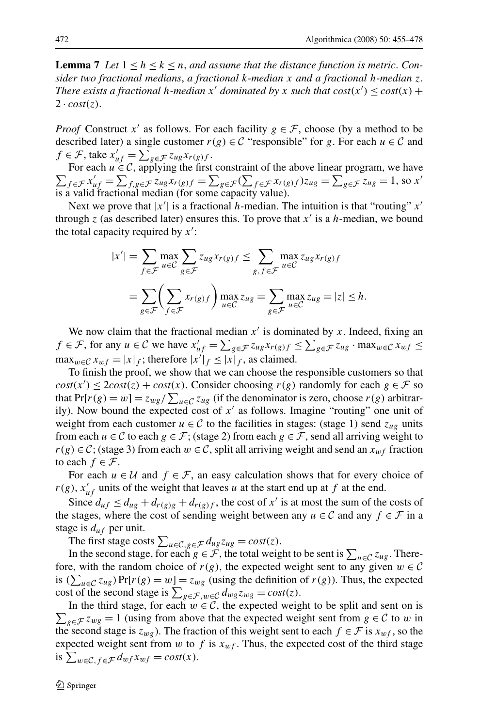<span id="page-17-0"></span>**Lemma 7** Let  $1 \leq h \leq k \leq n$ , and assume that the distance function is metric. Con*sider two fractional medians*, *a fractional k-median x and a fractional h-median z*. *There exists a fractional h-median*  $x'$  *dominated by*  $x$  *such that cost* $(x') \leq cost(x) +$  $2 \cdot cost(z)$ .

*Proof* Construct *x'* as follows. For each facility  $g \in \mathcal{F}$ , choose (by a method to be described later) a single customer  $r(g) \in \mathcal{C}$  "responsible" for g. For each  $u \in \mathcal{C}$  and  $f \in \mathcal{F}$ , take  $x'_{uf} = \sum_{g \in \mathcal{F}} z_{ug} x_{r(g)f}$ .

 $\sum_{f \in \mathcal{F}} x'_{uf} = \sum_{f,g \in \mathcal{F}} z_{ug} x_{r(g)f} = \sum_{g \in \mathcal{F}} (\sum_{f \in \mathcal{F}} x_{r(g)f}) z_{ug} = \sum_{g \in \mathcal{F}} z_{ug} = 1$ , so *x'* For each  $u \in \mathcal{C}$ , applying the first constraint of the above linear program, we have is a valid fractional median (for some capacity value).

Next we prove that  $|x'|$  is a fractional *h*-median. The intuition is that "routing"  $x'$ through  $z$  (as described later) ensures this. To prove that  $x'$  is a *h*-median, we bound the total capacity required by *x* :

$$
|x'| = \sum_{f \in \mathcal{F}} \max_{u \in \mathcal{C}} \sum_{g \in \mathcal{F}} z_{ug} x_{r(g)f} \le \sum_{g, f \in \mathcal{F}} \max_{u \in \mathcal{C}} z_{ug} x_{r(g)f}
$$
  
= 
$$
\sum_{g \in \mathcal{F}} \left( \sum_{f \in \mathcal{F}} x_{r(g)f} \right) \max_{u \in \mathcal{C}} z_{ug} = \sum_{g \in \mathcal{F}} \max_{u \in \mathcal{C}} z_{ug} = |z| \le h.
$$

We now claim that the fractional median  $x'$  is dominated by x. Indeed, fixing an *f* ∈ *F*, for any *u* ∈ *C* we have  $x'_{uf} = \sum_{g \in \mathcal{F}} z_{ug} x_{r(g)f} \le \sum_{g \in \mathcal{F}} z_{ug} \cdot \max_{w \in \mathcal{C}} x_{wf} \le$  $\max_{w \in \mathcal{C}} x_{wf} = |x|_f$ ; therefore  $|x'|_f \leq |x|_f$ , as claimed.

To finish the proof, we show that we can choose the responsible customers so that  $cost(x') \leq 2cost(z) + cost(x)$ . Consider choosing *r(g)* randomly for each  $g \in \mathcal{F}$  so that  $Pr[r(g) = w] = z_{wg} / \sum_{u \in C} z_{ug}$  (if the denominator is zero, choose  $r(g)$  arbitrarily). Now bound the expected cost of  $x'$  as follows. Imagine "routing" one unit of weight from each customer  $u \in \mathcal{C}$  to the facilities in stages: (stage 1) send  $z_{ug}$  units from each  $u \in \mathcal{C}$  to each  $g \in \mathcal{F}$ ; (stage 2) from each  $g \in \mathcal{F}$ , send all arriving weight to *r*(*g*) ∈ C; (stage 3) from each  $w \in C$ , split all arriving weight and send an  $x_{wf}$  fraction to each  $f \in \mathcal{F}$ .

For each  $u \in U$  and  $f \in \mathcal{F}$ , an easy calculation shows that for every choice of  $r(g)$ ,  $x'_{uf}$  units of the weight that leaves *u* at the start end up at *f* at the end.

Since  $d_{uf} \leq d_{ug} + d_{r(g)g} + d_{r(g)f}$ , the cost of x' is at most the sum of the costs of the stages, where the cost of sending weight between any  $u \in \mathcal{C}$  and any  $f \in \mathcal{F}$  in a stage is *duf* per unit.

The first stage costs  $\sum_{u \in \mathcal{C}, g \in \mathcal{F}} d_{ug} z_{ug} = cost(z)$ .

In the second stage, for each  $g \in \mathcal{F}$ , the total weight to be sent is  $\sum_{u \in \mathcal{C}} z_{ug}$ . Therefore, with the random choice of  $r(g)$ , the expected weight sent to any given  $w \in \mathcal{C}$ is  $(\sum_{u \in \mathcal{C}} z_{ug}) \Pr[r(g) = w] = z_{wg}$  (using the definition of *r(g))*. Thus, the expected cost of the second stage is  $\sum_{g \in \mathcal{F}, w \in \mathcal{C}} d_{wg} z_{wg} = cost(z)$ .

 $\sum_{g \in \mathcal{F}} z_{wg} = 1$  (using from above that the expected weight sent from  $g \in \mathcal{C}$  to *w* in In the third stage, for each  $w \in \mathcal{C}$ , the expected weight to be split and sent on is the second stage is  $z_{wg}$ ). The fraction of this weight sent to each  $f \in \mathcal{F}$  is  $x_{wf}$ , so the expected weight sent from  $w$  to  $f$  is  $x_{wf}$ . Thus, the expected cost of the third stage is  $\sum_{w \in \mathcal{C}, f \in \mathcal{F}} d_{wf} x_{wf} = cost(x)$ .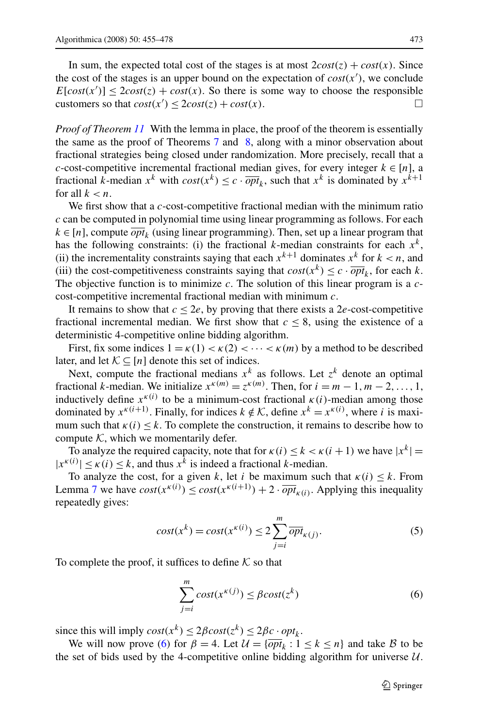<span id="page-18-0"></span>In sum, the expected total cost of the stages is at most  $2\cos t(z) + \cos t(x)$ . Since the cost of the stages is an upper bound on the expectation of  $cost(x')$ , we conclude  $E[cost(x')] \leq 2cost(z) + cost(x)$ . So there is some way to choose the responsible customers so that  $cost(x') \leq 2cost(z) + cost(x)$ .

*Proof of Theorem [11](#page-5-0)* With the lemma in place, the proof of the theorem is essentially the same as the proof of Theorems [7](#page-4-0) and [8,](#page-4-0) along with a minor observation about fractional strategies being closed under randomization. More precisely, recall that a *c*-cost-competitive incremental fractional median gives, for every integer  $k \in [n]$ , a fractional *k*-median  $x^k$  with  $cost(x^k) \le c \cdot \overline{opt}_k$ , such that  $x^k$  is dominated by  $x^{k+1}$ for all  $k < n$ .

We first show that a *c*-cost-competitive fractional median with the minimum ratio *c* can be computed in polynomial time using linear programming as follows. For each  $k \in [n]$ , compute  $\overline{opt}_k$  (using linear programming). Then, set up a linear program that has the following constraints: (i) the fractional *k*-median constraints for each  $x<sup>k</sup>$ , (ii) the incrementality constraints saying that each  $x^{k+1}$  dominates  $x^k$  for  $k < n$ , and (iii) the cost-competitiveness constraints saying that  $cost(x^k) \leq c \cdot \overline{opt}_k$ , for each *k*. The objective function is to minimize *c*. The solution of this linear program is a *c*cost-competitive incremental fractional median with minimum *c*.

It remains to show that  $c \le 2e$ , by proving that there exists a 2*e*-cost-competitive fractional incremental median. We first show that  $c \leq 8$ , using the existence of a deterministic 4-competitive online bidding algorithm.

First, fix some indices  $1 = \kappa(1) < \kappa(2) < \cdots < \kappa(m)$  by a method to be described later, and let  $K \subseteq [n]$  denote this set of indices.

Next, compute the fractional medians  $x^k$  as follows. Let  $z^k$  denote an optimal fractional *k*-median. We initialize  $x^{k(m)} = z^{k(m)}$ . Then, for  $i = m - 1, m - 2, \ldots, 1$ , inductively define  $x^{k(i)}$  to be a minimum-cost fractional  $k(i)$ -median among those dominated by  $x^{k(i+1)}$ . Finally, for indices  $k \notin \mathcal{K}$ , define  $x^{k} = x^{k(i)}$ , where *i* is maximum such that  $k(i) \leq k$ . To complete the construction, it remains to describe how to compute  $K$ , which we momentarily defer.

To analyze the required capacity, note that for  $\kappa(i) \leq k < \kappa(i+1)$  we have  $|x^k| =$  $|x^{\kappa(i)}| \leq \kappa(i) \leq k$ , and thus  $x^k$  is indeed a fractional *k*-median.

To analyze the cost, for a given *k*, let *i* be maximum such that  $\kappa(i) \leq k$ . From Lemma [7](#page-17-0) we have  $cost(x^{k(i)}) \leq cost(x^{k(i+1)}) + 2 \cdot \overline{opt}_{k(i)}$ . Applying this inequality repeatedly gives:

$$
cost(x^{k}) = cost(x^{\kappa(i)}) \le 2\sum_{j=i}^{m} \overline{opt}_{\kappa(j)}.
$$
\n(5)

To complete the proof, it suffices to define  $K$  so that

$$
\sum_{j=i}^{m} cost(x^{\kappa(j)}) \le \beta cost(z^k)
$$
\n(6)

since this will imply  $cost(x^k) \leq 2\beta cost(z^k) \leq 2\beta c \cdot opt_k$ .

We will now prove (6) for  $\beta = 4$ . Let  $\mathcal{U} = {\overline{opt}_k : 1 \le k \le n}$  and take B to be the set of bids used by the 4-competitive online bidding algorithm for universe  $U$ .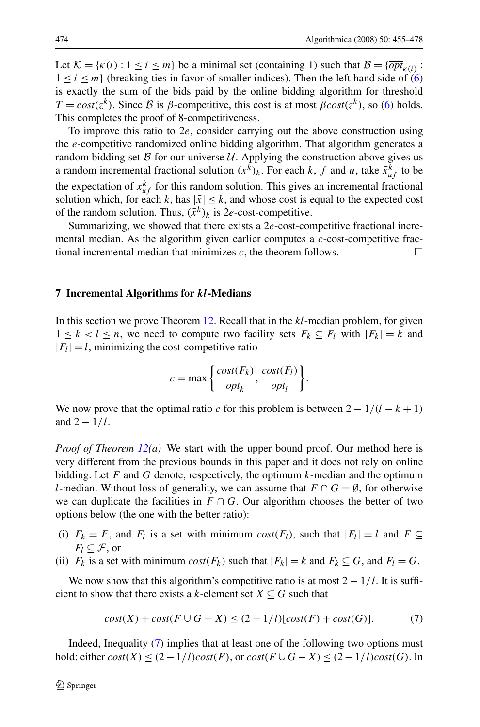<span id="page-19-0"></span>Let  $\mathcal{K} = {\kappa(i) : 1 \le i \le m}$  be a minimal set (containing 1) such that  $\mathcal{B} = {\overline{opt}}_{\kappa(i)}$ :  $1 \le i \le m$  (breaking ties in favor of smaller indices). Then the left hand side of [\(6](#page-18-0)) is exactly the sum of the bids paid by the online bidding algorithm for threshold  $T = cost(z^k)$ . Since B is  $\beta$ -competitive, this cost is at most  $\beta cost(z^k)$ , so [\(6](#page-18-0)) holds. This completes the proof of 8-competitiveness.

To improve this ratio to 2*e*, consider carrying out the above construction using the *e*-competitive randomized online bidding algorithm. That algorithm generates a random bidding set  $\beta$  for our universe  $\mathcal U$ . Applying the construction above gives us a random incremental fractional solution  $(x^k)_k$ . For each *k*, *f* and *u*, take  $\bar{x}^k_{uf}$  to be the expectation of  $x_{uf}^k$  for this random solution. This gives an incremental fractional solution which, for each *k*, has  $|\bar{x}| \leq k$ , and whose cost is equal to the expected cost of the random solution. Thus,  $(\bar{x}^k)_k$  is 2*e*-cost-competitive.

Summarizing, we showed that there exists a 2*e*-cost-competitive fractional incremental median. As the algorithm given earlier computes a *c*-cost-competitive fractional incremental median that minimizes  $c$ , the theorem follows.

#### **7 Incremental Algorithms for** *kl***-Medians**

In this section we prove Theorem [12.](#page-6-0) Recall that in the *kl*-median problem, for given  $1 \leq k < l \leq n$ , we need to compute two facility sets  $F_k \subseteq F_l$  with  $|F_k| = k$  and  $|F_l| = l$ , minimizing the cost-competitive ratio

$$
c = \max\left\{\frac{cost(F_k)}{opt_k}, \frac{cost(F_l)}{opt_l}\right\}.
$$

We now prove that the optimal ratio *c* for this problem is between  $2 - 1/(l - k + 1)$ and  $2 - 1/l$ .

*Proof of Theorem [12](#page-6-0)(a)* We start with the upper bound proof. Our method here is very different from the previous bounds in this paper and it does not rely on online bidding. Let *F* and *G* denote, respectively, the optimum *k*-median and the optimum *l*-median. Without loss of generality, we can assume that  $F \cap G = \emptyset$ , for otherwise we can duplicate the facilities in  $F \cap G$ . Our algorithm chooses the better of two options below (the one with the better ratio):

- (i)  $F_k = F$ , and  $F_l$  is a set with minimum  $cost(F_l)$ , such that  $|F_l| = l$  and  $F \subseteq$  $F_l \subseteq \mathcal{F}$ , or
- (ii)  $F_k$  is a set with minimum *cost*( $F_k$ ) such that  $|F_k| = k$  and  $F_k \subseteq G$ , and  $F_l = G$ .

We now show that this algorithm's competitive ratio is at most  $2 - \frac{1}{l}$ . It is sufficient to show that there exists a *k*-element set  $X \subseteq G$  such that

$$
cost(X) + cost(F \cup G - X) \le (2 - 1/l)[cost(F) + cost(G)].
$$
\n<sup>(7)</sup>

Indeed, Inequality (7) implies that at least one of the following two options must hold: either  $cost(X)$  ≤  $(2-1/l)cost(F)$ , or  $cost(F \cup G - X)$  ≤  $(2-1/l)cost(G)$ . In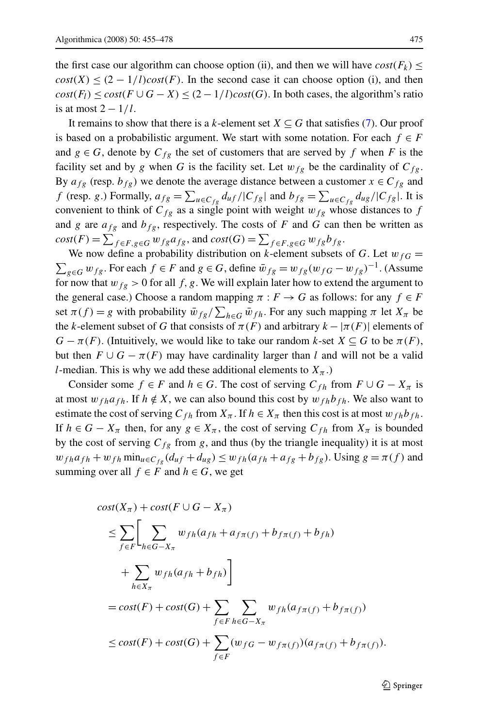the first case our algorithm can choose option (ii), and then we will have  $cost(F_k) \leq$  $cost(X) \leq (2 - 1/l)cost(F)$ . In the second case it can choose option (i), and then  $cost(F_l) \leq cost(F \cup G - X) \leq (2 - 1/l)cost(G)$ . In both cases, the algorithm's ratio is at most 2 − 1*/l*.

It remains to show that there is a *k*-element set  $X \subseteq G$  that satisfies ([7\)](#page-19-0). Our proof is based on a probabilistic argument. We start with some notation. For each  $f \in F$ and  $g \in G$ , denote by  $C_{fg}$  the set of customers that are served by f when F is the facility set and by *g* when *G* is the facility set. Let  $w_{fg}$  be the cardinality of  $C_{fg}$ . By  $a_{fg}$  (resp.  $b_{fg}$ ) we denote the average distance between a customer  $x \in C_{fg}$  and *f* (resp. *g*.) Formally,  $a_{fg} = \sum_{u \in C_{fg}} d_{uf} / |C_{fg}|$  and  $b_{fg} = \sum_{u \in C_{fg}} d_{ug} / |C_{fg}|$ . It is convenient to think of  $C_{fg}$  as a single point with weight  $w_{fg}$  whose distances to  $f$ and *g* are  $a_{fg}$  and  $b_{fg}$ , respectively. The costs of *F* and *G* can then be written as  $cost(F) = \sum_{f \in F, g \in G} w_{fg} a_{fg}$ , and  $cost(G) = \sum_{f \in F, g \in G} w_{fg} b_{fg}$ .

We now define a probability distribution on *k*-element subsets of *G*. Let  $w_{fG} =$  $\sum_{g \in G} w_{fg}$ . For each *f* ∈ *F* and *g* ∈ *G*, define  $\bar{w}_{fg} = w_{fg}(w_{fG} - w_{fg})^{-1}$ . (Assume for now that  $w_{fg} > 0$  for all f, g. We will explain later how to extend the argument to the general case.) Choose a random mapping  $\pi : F \to G$  as follows: for any  $f \in F$ set  $\pi(f) = g$  with probability  $\bar{w}_{fg}/\sum_{h \in G} \bar{w}_{fh}$ . For any such mapping  $\pi$  let  $X_{\pi}$  be the *k*-element subset of *G* that consists of  $\pi(F)$  and arbitrary  $k - |\pi(F)|$  elements of  $G - \pi(F)$ . (Intuitively, we would like to take our random *k*-set  $X \subseteq G$  to be  $\pi(F)$ , but then  $F \cup G - \pi(F)$  may have cardinality larger than *l* and will not be a valid *l*-median. This is why we add these additional elements to  $X_{\pi}$ .)

Consider some  $f \in F$  and  $h \in G$ . The cost of serving  $C_{fh}$  from  $F \cup G - X_{\pi}$  is at most  $w_{fh}a_{fh}$ . If  $h \notin X$ , we can also bound this cost by  $w_{fh}b_{fh}$ . We also want to estimate the cost of serving  $C_{fh}$  from  $X_\pi$ . If  $h \in X_\pi$  then this cost is at most  $w_{fh}b_{fh}$ . If  $h \in G - X_{\pi}$  then, for any  $g \in X_{\pi}$ , the cost of serving  $C_{fh}$  from  $X_{\pi}$  is bounded by the cost of serving  $C_{fg}$  from *g*, and thus (by the triangle inequality) it is at most  $w_{fh} a_{fh} + w_{fh} \min_{u \in C_{fg}} (d_{uf} + d_{ug}) \leq w_{fh} (a_{fh} + a_{fg} + b_{fg})$ . Using  $g = \pi(f)$  and summing over all  $f \in F$  and  $h \in G$ , we get

$$
cost(X_{\pi}) + cost(F \cup G - X_{\pi})
$$
  
\n
$$
\leq \sum_{f \in F} \left[ \sum_{h \in G - X_{\pi}} w_{fh}(a_{fh} + a_{f\pi(f)} + b_{f\pi(f)} + b_{fh}) + \sum_{h \in X_{\pi}} w_{fh}(a_{fh} + b_{fh}) \right]
$$
  
\n
$$
= cost(F) + cost(G) + \sum_{f \in F} \sum_{h \in G - X_{\pi}} w_{fh}(a_{f\pi(f)} + b_{f\pi(f)})
$$
  
\n
$$
\leq cost(F) + cost(G) + \sum_{f \in F} (w_{fG} - w_{f\pi(f)})(a_{f\pi(f)} + b_{f\pi(f)}).
$$

 $\mathcal{D}$  Springer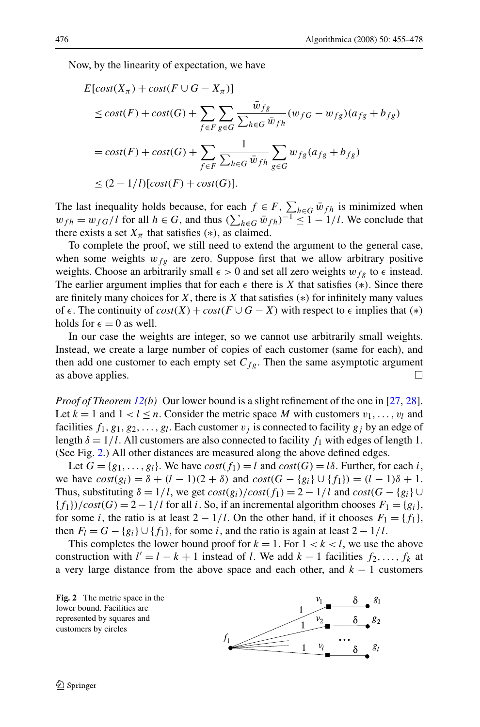Now, by the linearity of expectation, we have

$$
E[cost(X_{\pi}) + cost(F \cup G - X_{\pi})]
$$
  
\n
$$
\le cost(F) + cost(G) + \sum_{f \in F} \sum_{g \in G} \frac{\bar{w}_{fg}}{\sum_{h \in G} \bar{w}_{fh}} (w_{fG} - w_{fg})(a_{fg} + b_{fg})
$$
  
\n
$$
= cost(F) + cost(G) + \sum_{f \in F} \frac{1}{\sum_{h \in G} \bar{w}_{fh}} \sum_{g \in G} w_{fg}(a_{fg} + b_{fg})
$$
  
\n
$$
\le (2 - 1/l)[cost(F) + cost(G)].
$$

The last inequality holds because, for each  $f \in F$ ,  $\sum_{h \in G} \bar{w}_{fh}$  is minimized when *w*<sub>fh</sub> = *w*<sub>fG</sub>/l for all *h* ∈ *G*, and thus  $(\sum_{h \in G} \bar{w}_{fh})^{-1}$  ≤ 1 − 1/l. We conclude that there exists a set  $X_{\pi}$  that satisfies (\*), as claimed.

To complete the proof, we still need to extend the argument to the general case, when some weights  $w_{fg}$  are zero. Suppose first that we allow arbitrary positive weights. Choose an arbitrarily small  $\epsilon > 0$  and set all zero weights  $w_{fg}$  to  $\epsilon$  instead. The earlier argument implies that for each  $\epsilon$  there is *X* that satisfies  $(*)$ . Since there are finitely many choices for *X*, there is *X* that satisfies *(*∗*)* for infinitely many values *of ∈*. The continuity of  $cost(X) + cost(F \cup G - X)$  with respect to  $\epsilon$  implies that  $(*)$ holds for  $\epsilon = 0$  as well.

In our case the weights are integer, so we cannot use arbitrarily small weights. Instead, we create a large number of copies of each customer (same for each), and then add one customer to each empty set  $C_{fg}$ . Then the same asymptotic argument as above applies.  $\Box$ 

*Proof of Theorem [12](#page-6-0)(b)* Our lower bound is a slight refinement of the one in [[27,](#page-23-0) [28\]](#page-23-0). Let  $k = 1$  and  $1 < l \leq n$ . Consider the metric space M with customers  $v_1, \ldots, v_l$  and facilities  $f_1, g_1, g_2, \ldots, g_l$ . Each customer  $v_j$  is connected to facility  $g_j$  by an edge of length  $\delta = 1/l$ . All customers are also connected to facility  $f_1$  with edges of length 1. (See Fig. 2.) All other distances are measured along the above defined edges.

Let  $G = \{g_1, \ldots, g_l\}$ . We have  $cost(f_1) = l$  and  $cost(G) = l\delta$ . Further, for each *i*, we have  $cost(g_i) = δ + (l - 1)(2 + δ)$  and  $cost(G - {g_i} ∪ {f_1}) = (l - 1)δ + 1$ . Thus, substituting  $\delta = 1/l$ , we get  $cost(g_i)/cost(f_1) = 2 - 1/l$  and  $cost(G - \{g_i\} \cup$  ${f_1}$ *)/cost*(*G*) = 2 – 1/*l* for all *i*. So, if an incremental algorithm chooses  $F_1 = \{g_i\}$ , for some *i*, the ratio is at least  $2 - 1/l$ . On the other hand, if it chooses  $F_1 = \{f_1\}$ , then  $F_l = G - \{g_i\} \cup \{f_1\}$ , for some *i*, and the ratio is again at least  $2 - 1/l$ .

This completes the lower bound proof for  $k = 1$ . For  $1 < k < l$ , we use the above construction with  $l' = l - k + 1$  instead of *l*. We add  $k - 1$  facilities  $f_2, \ldots, f_k$  at a very large distance from the above space and each other, and *k* − 1 customers

**Fig. 2** The metric space in the lower bound. Facilities are represented by squares and customers by circles

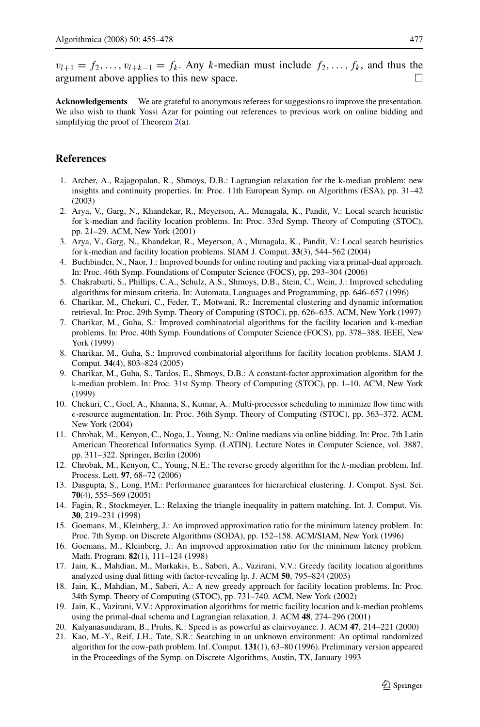<span id="page-22-0"></span> $v_{l+1} = f_2, \ldots, v_{l+k-1} = f_k$ . Any *k*-median must include  $f_2, \ldots, f_k$ , and thus the argument above applies to this new space.  $\Box$ 

**Acknowledgements** We are grateful to anonymous referees for suggestions to improve the presentation. We also wish to thank Yossi Azar for pointing out references to previous work on online bidding and simplifying the proof of Theorem  $2(a)$  $2(a)$ .

# **References**

- 1. Archer, A., Rajagopalan, R., Shmoys, D.B.: Lagrangian relaxation for the k-median problem: new insights and continuity properties. In: Proc. 11th European Symp. on Algorithms (ESA), pp. 31–42 (2003)
- 2. Arya, V., Garg, N., Khandekar, R., Meyerson, A., Munagala, K., Pandit, V.: Local search heuristic for k-median and facility location problems. In: Proc. 33rd Symp. Theory of Computing (STOC), pp. 21–29. ACM, New York (2001)
- 3. Arya, V., Garg, N., Khandekar, R., Meyerson, A., Munagala, K., Pandit, V.: Local search heuristics for k-median and facility location problems. SIAM J. Comput. **33**(3), 544–562 (2004)
- 4. Buchbinder, N., Naor, J.: Improved bounds for online routing and packing via a primal-dual approach. In: Proc. 46th Symp. Foundations of Computer Science (FOCS), pp. 293–304 (2006)
- 5. Chakrabarti, S., Phillips, C.A., Schulz, A.S., Shmoys, D.B., Stein, C., Wein, J.: Improved scheduling algorithms for minsum criteria. In: Automata, Languages and Programming, pp. 646–657 (1996)
- 6. Charikar, M., Chekuri, C., Feder, T., Motwani, R.: Incremental clustering and dynamic information retrieval. In: Proc. 29th Symp. Theory of Computing (STOC), pp. 626–635. ACM, New York (1997)
- 7. Charikar, M., Guha, S.: Improved combinatorial algorithms for the facility location and k-median problems. In: Proc. 40th Symp. Foundations of Computer Science (FOCS), pp. 378–388. IEEE, New York (1999)
- 8. Charikar, M., Guha, S.: Improved combinatorial algorithms for facility location problems. SIAM J. Comput. **34**(4), 803–824 (2005)
- 9. Charikar, M., Guha, S., Tardos, E., Shmoys, D.B.: A constant-factor approximation algorithm for the k-median problem. In: Proc. 31st Symp. Theory of Computing (STOC), pp. 1–10. ACM, New York (1999)
- 10. Chekuri, C., Goel, A., Khanna, S., Kumar, A.: Multi-processor scheduling to minimize flow time with *-*-resource augmentation. In: Proc. 36th Symp. Theory of Computing (STOC), pp. 363–372. ACM, New York (2004)
- 11. Chrobak, M., Kenyon, C., Noga, J., Young, N.: Online medians via online bidding. In: Proc. 7th Latin American Theoretical Informatics Symp. (LATIN). Lecture Notes in Computer Science, vol. 3887, pp. 311–322. Springer, Berlin (2006)
- 12. Chrobak, M., Kenyon, C., Young, N.E.: The reverse greedy algorithm for the *k*-median problem. Inf. Process. Lett. **97**, 68–72 (2006)
- 13. Dasgupta, S., Long, P.M.: Performance guarantees for hierarchical clustering. J. Comput. Syst. Sci. **70**(4), 555–569 (2005)
- 14. Fagin, R., Stockmeyer, L.: Relaxing the triangle inequality in pattern matching. Int. J. Comput. Vis. **30**, 219–231 (1998)
- 15. Goemans, M., Kleinberg, J.: An improved approximation ratio for the minimum latency problem. In: Proc. 7th Symp. on Discrete Algorithms (SODA), pp. 152–158. ACM/SIAM, New York (1996)
- 16. Goemans, M., Kleinberg, J.: An improved approximation ratio for the minimum latency problem. Math. Program. **82**(1), 111–124 (1998)
- 17. Jain, K., Mahdian, M., Markakis, E., Saberi, A., Vazirani, V.V.: Greedy facility location algorithms analyzed using dual fitting with factor-revealing lp. J. ACM **50**, 795–824 (2003)
- 18. Jain, K., Mahdian, M., Saberi, A.: A new greedy approach for facility location problems. In: Proc. 34th Symp. Theory of Computing (STOC), pp. 731–740. ACM, New York (2002)
- 19. Jain, K., Vazirani, V.V.: Approximation algorithms for metric facility location and k-median problems using the primal-dual schema and Lagrangian relaxation. J. ACM **48**, 274–296 (2001)
- 20. Kalyanasundaram, B., Pruhs, K.: Speed is as powerful as clairvoyance. J. ACM **47**, 214–221 (2000)
- 21. Kao, M.-Y., Reif, J.H., Tate, S.R.: Searching in an unknown environment: An optimal randomized algorithm for the cow-path problem. Inf. Comput. **131**(1), 63–80 (1996). Preliminary version appeared in the Proceedings of the Symp. on Discrete Algorithms, Austin, TX, January 1993